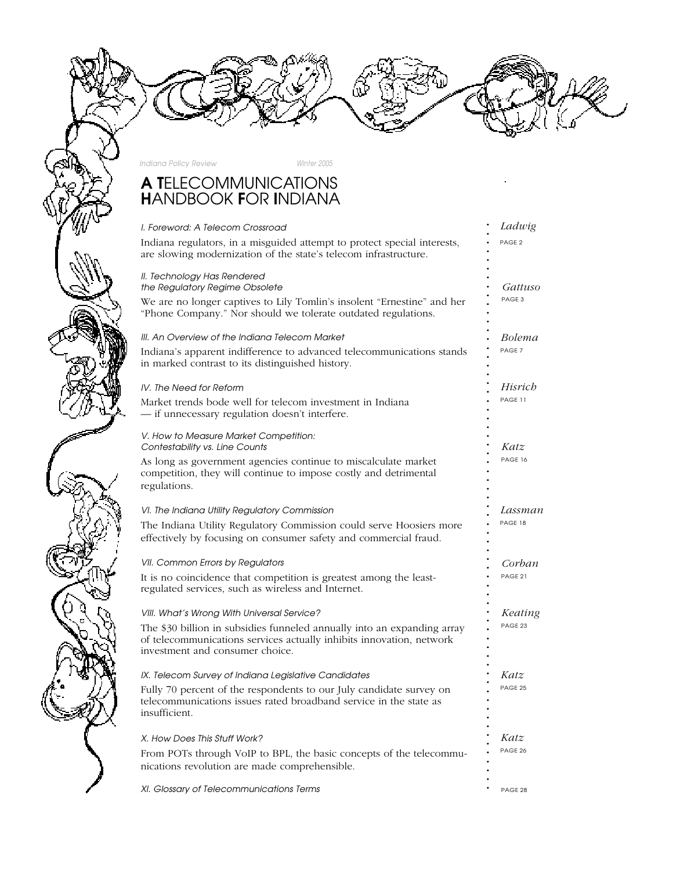**. . . .**

*Indiana Policy Review Winter 2005*

# A T*ELECOMMUNICATIONS* H*ANDBOOK* F*OR* I*NDIANA*

| I. Foreword: A Telecom Crossroad                                                                                                                                                   | Ladwig            |  |
|------------------------------------------------------------------------------------------------------------------------------------------------------------------------------------|-------------------|--|
| Indiana regulators, in a misguided attempt to protect special interests,<br>are slowing modernization of the state's telecom infrastructure.                                       | PAGE <sub>2</sub> |  |
| II. Technology Has Rendered<br>the Regulatory Regime Obsolete<br>We are no longer captives to Lily Tomlin's insolent "Ernestine" and her                                           | Gattuso<br>PAGE 3 |  |
| "Phone Company." Nor should we tolerate outdated regulations.                                                                                                                      |                   |  |
| III. An Overview of the Indiana Telecom Market                                                                                                                                     | Bolema            |  |
| Indiana's apparent indifference to advanced telecommunications stands<br>in marked contrast to its distinguished history.                                                          | PAGE <sub>7</sub> |  |
| IV. The Need for Reform                                                                                                                                                            | Hisrich           |  |
| Market trends bode well for telecom investment in Indiana<br>- if unnecessary regulation doesn't interfere.                                                                        | PAGE 11           |  |
| V. How to Measure Market Competition:<br>Contestability vs. Line Counts                                                                                                            | Katz              |  |
| As long as government agencies continue to miscalculate market<br>competition, they will continue to impose costly and detrimental<br>regulations.                                 | PAGE 16           |  |
| VI. The Indiana Utility Regulatory Commission                                                                                                                                      | Lassman           |  |
| The Indiana Utility Regulatory Commission could serve Hoosiers more<br>effectively by focusing on consumer safety and commercial fraud.                                            | PAGE 18           |  |
| VII. Common Errors by Regulators                                                                                                                                                   | Corban            |  |
| It is no coincidence that competition is greatest among the least-<br>regulated services, such as wireless and Internet.                                                           | PAGE 21           |  |
| VIII. What's Wrong With Universal Service?                                                                                                                                         | Keating           |  |
| The \$30 billion in subsidies funneled annually into an expanding array<br>of telecommunications services actually inhibits innovation, network<br>investment and consumer choice. | PAGE 23           |  |
| IX. Telecom Survey of Indiana Legislative Candidates                                                                                                                               | Katz              |  |
| Fully 70 percent of the respondents to our July candidate survey on<br>telecommunications issues rated broadband service in the state as<br>insufficient.                          | PAGE 25           |  |
| X. How Does This Stuff Work?                                                                                                                                                       | Katz              |  |
| From POTs through VoIP to BPL, the basic concepts of the telecommu-<br>nications revolution are made comprehensible.                                                               | PAGE 26           |  |
| XI. Glossary of Telecommunications Terms                                                                                                                                           | PAGE 28           |  |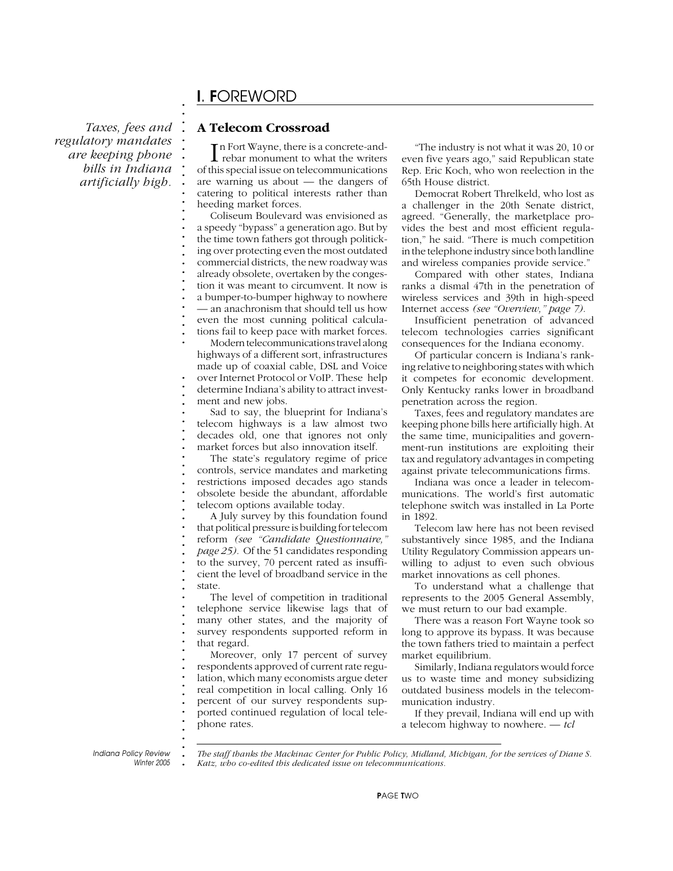### *Taxes, fees and regulatory mandates are keeping phone bills in Indiana artificially high.*

# I*.* F*OREWORD*

**. . . . . . . . . . . . . . . . . . . . . . . . . . . .**

**. . . . . . . . . . . . . . . . . . . . . . . . . . . . . . . . . . . . . . . . . . . .**

#### **A Telecom Crossroad**

In Fort Wayne, there is a concrete-and-<br>rebar monument to what the writers rebar monument to what the writers of this special issue on telecommunications are warning us about — the dangers of catering to political interests rather than heeding market forces.

Coliseum Boulevard was envisioned as a speedy "bypass" a generation ago. But by the time town fathers got through politicking over protecting even the most outdated commercial districts, the new roadway was already obsolete, overtaken by the congestion it was meant to circumvent. It now is a bumper-to-bumper highway to nowhere — an anachronism that should tell us how even the most cunning political calculations fail to keep pace with market forces.

Modern telecommunications travel along highways of a different sort, infrastructures made up of coaxial cable, DSL and Voice over Internet Protocol or VoIP. These help determine Indiana's ability to attract invest-

ment and new jobs.

Sad to say, the blueprint for Indiana's telecom highways is a law almost two decades old, one that ignores not only market forces but also innovation itself.

The state's regulatory regime of price controls, service mandates and marketing restrictions imposed decades ago stands obsolete beside the abundant, affordable telecom options available today.

A July survey by this foundation found that political pressure is building for telecom reform *(see "Candidate Questionnaire," page 25).* Of the 51 candidates responding to the survey, 70 percent rated as insufficient the level of broadband service in the state.

The level of competition in traditional telephone service likewise lags that of many other states, and the majority of survey respondents supported reform in that regard.

Moreover, only 17 percent of survey respondents approved of current rate regulation, which many economists argue deter real competition in local calling. Only 16 percent of our survey respondents supported continued regulation of local telephone rates.

"The industry is not what it was 20, 10 or even five years ago," said Republican state Rep. Eric Koch, who won reelection in the 65th House district.

Democrat Robert Threlkeld, who lost as a challenger in the 20th Senate district, agreed. "Generally, the marketplace provides the best and most efficient regulation," he said. "There is much competition in the telephone industry since both landline and wireless companies provide service."

Compared with other states, Indiana ranks a dismal 47th in the penetration of wireless services and 39th in high-speed Internet access *(see "Overview," page 7).*

Insufficient penetration of advanced telecom technologies carries significant consequences for the Indiana economy.

Of particular concern is Indiana's ranking relative to neighboring states with which it competes for economic development. Only Kentucky ranks lower in broadband penetration across the region.

Taxes, fees and regulatory mandates are keeping phone bills here artificially high. At the same time, municipalities and government-run institutions are exploiting their tax and regulatory advantages in competing against private telecommunications firms.

Indiana was once a leader in telecommunications. The world's first automatic telephone switch was installed in La Porte in 1892.

Telecom law here has not been revised substantively since 1985, and the Indiana Utility Regulatory Commission appears unwilling to adjust to even such obvious market innovations as cell phones.

To understand what a challenge that represents to the 2005 General Assembly, we must return to our bad example.

There was a reason Fort Wayne took so long to approve its bypass. It was because the town fathers tried to maintain a perfect market equilibrium.

Similarly, Indiana regulators would force us to waste time and money subsidizing outdated business models in the telecommunication industry.

If they prevail, Indiana will end up with a telecom highway to nowhere. *— tcl*

**.** *Indiana Policy Review Winter 2005* *The staff thanks the Mackinac Center for Public Policy, Midland, Michigan, for the services of Diane S. Katz, who co-edited this dedicated issue on telecommunications.*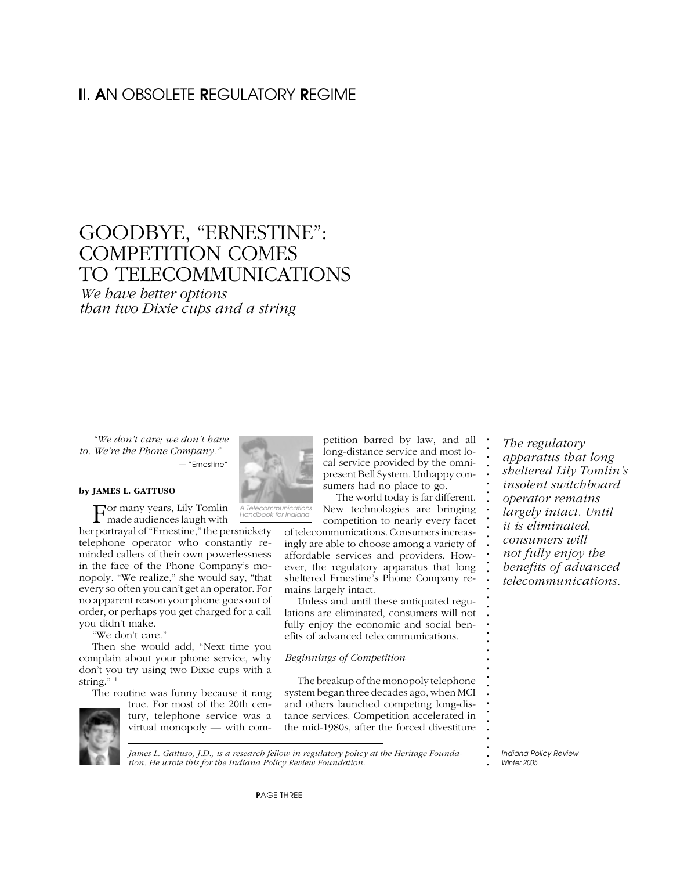# I*I.* A*N OBSOLETE* R*EGULATORY* R*EGIME*

# GOODBYE, "ERNESTINE": COMPETITION COMES TO TELECOMMUNICATIONS

*We have better options than two Dixie cups and a string*

*"We don't care; we don't have to. We're the Phone Company." — "Ernestine"*

#### **by JAMES L. GATTUSO**

For many years, Lily Tomlin made audiences laugh with

her portrayal of "Ernestine," the persnickety telephone operator who constantly reminded callers of their own powerlessness in the face of the Phone Company's monopoly. "We realize," she would say, "that every so often you can't get an operator. For no apparent reason your phone goes out of order, or perhaps you get charged for a call you didn't make.

"We don't care."

Then she would add, "Next time you complain about your phone service, why don't you try using two Dixie cups with a string."<sup>1</sup>

The routine was funny because it rang





petition barred by law, and all long-distance service and most local service provided by the omnipresent Bell System. Unhappy consumers had no place to go. The world today is far different.

*A Telecommunications Handbook for Indiana*

New technologies are bringing competition to nearly every facet of telecommunications. Consumers increasingly are able to choose among a variety of affordable services and providers. However, the regulatory apparatus that long sheltered Ernestine's Phone Company re-

mains largely intact. Unless and until these antiquated regulations are eliminated, consumers will not fully enjoy the economic and social benefits of advanced telecommunications.

#### *Beginnings of Competition*

The breakup of the monopoly telephone system began three decades ago, when MCI and others launched competing long-distance services. Competition accelerated in the mid-1980s, after the forced divestiture

*The regulatory apparatus that long sheltered Lily Tomlin's insolent switchboard operator remains largely intact. Until it is eliminated, consumers will not fully enjoy the benefits of advanced telecommunications.*

**. . . . . . . . . . . . . . . . . . . . . . . . . . . . . . . . . . . . .**

*James L. Gattuso, J.D., is a research fellow in regulatory policy at the Heritage Foundation. He wrote this for the Indiana Policy Review Foundation.*

**.** *Indiana Policy Review Winter 2005*

P*AGE* T*HREE*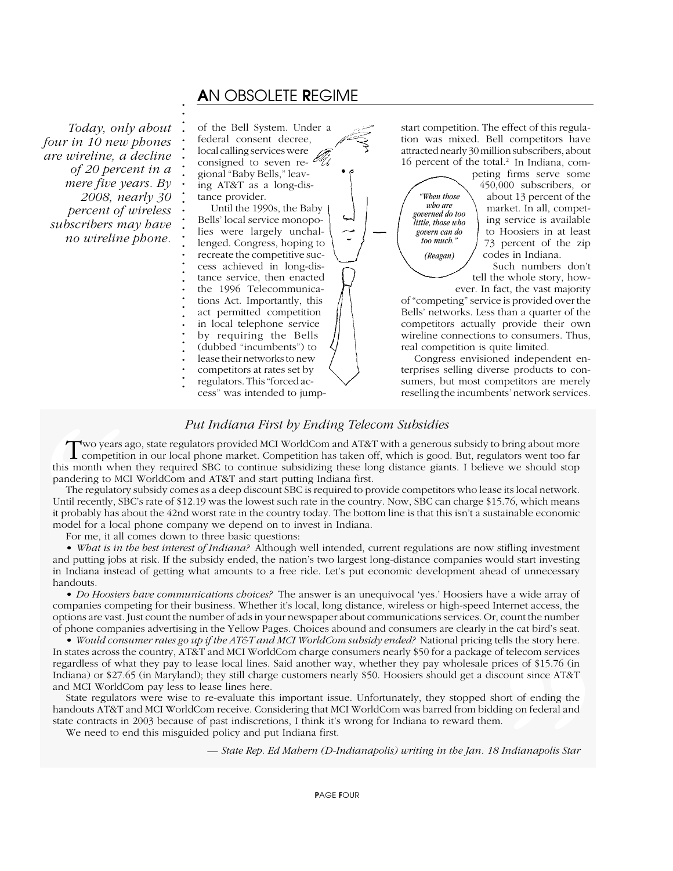## A*N OBSOLETE* R*EGIME*

*Today, only about four in 10 new phones are wireline, a decline of 20 percent in a mere five years. By 2008, nearly 30 percent of wireless subscribers may have no wireline phone.*

of the Bell System. Under a federal consent decree, local calling services were consigned to seven regional "Baby Bells," leaving AT&T as a long-distance provider. Until the 1990s, the Baby Bells' local service monopo-

lies were largely unchallenged. Congress, hoping to recreate the competitive success achieved in long-distance service, then enacted the 1996 Telecommunications Act. Importantly, this act permitted competition in local telephone service by requiring the Bells (dubbed "incumbents") to lease their networks to new competitors at rates set by

- **. .** regulators. This "forced ac-
- cess" was intended to jump-

start competition. The effect of this regulation was mixed. Bell competitors have attracted nearly 30 million subscribers, about 16 percent of the total.<sup>2</sup> In Indiana, com-

*"When those who are governed do too little, those who govern can do too much." (Reagan)*

peting firms serve some 450,000 subscribers, or about 13 percent of the market. In all, competing service is available to Hoosiers in at least 73 percent of the zip codes in Indiana.

Such numbers don't tell the whole story, how-

ever. In fact, the vast majority of "competing" service is provided over the Bells' networks. Less than a quarter of the competitors actually provide their own wireline connections to consumers. Thus, real competition is quite limited.

Congress envisioned independent enterprises selling diverse products to consumers, but most competitors are merely reselling the incumbents' network services.

### **.**

**. .** Two years ago, state regulators provided MCI WorldCom and AT&T with a generous subsidy to bring about more<br>
T competition in our local phone market. Competition has taken off, which is good. But, regulators went too far **.** this month when they required SBC to continue subsidizing these long distance giants. I believe we should stop<br>readering to MCLWaddCom and AT&T and start putting Indiana first **.** pandering to MCI WorldCom and AT&T and start putting Indiana first.

**.** The regulatory subsidy comes as a deep discount SBC is required to provide competitors who lease its local network. **.** Until recently, SBC's rate of \$12.19 was the lowest such rate in the country. Now, SBC can charge \$15.76, which means If probably has about the 42nd worst rate in the country today. The bottom line is that this isn't a sustainable economic it probably has about the 42nd worst rate in the country today. The bottom line is that this isn't a **.** model for a local phone company we depend on to invest in Indiana. **Put Indiana First by Ending Telecom Subsidies**<br> **T** competition in our local phone market. Competition has taken off, which is good this month when they required SBC to continue subsidizing these long distance gian pander

For me, it all comes down to three basic questions: **.**

**. . . . . . . . . . . . . . . . . . . . . . . . . . . . . . .**

**.** • *What is in the best interest of Indiana?* Although well intended, current regulations are now stifling investment **.** and putting jobs at risk. If the subsidy ended, the nation's two largest long-distance companies would start investing **. .** in Indiana instead of getting what amounts to a free ride. Let's put economic development ahead of unnecessary handouts.

**. .** • *Do Hoosiers have communications choices?* The answer is an unequivocal 'yes.' Hoosiers have a wide array of **.** companies competing for their business. Whether it's local, long distance, wireless or high-speed Internet access, the **. .** options are vast. Just count the number of ads in your newspaper about communications services. Or, count the number **.** of phone companies advertising in the Yellow Pages. Choices abound and consumers are clearly in the cat bird's seat.

**.** • *Would consumer rates go up if the AT&T and MCI WorldCom subsidy ended?* National pricing tells the story here. **.** In states across the country, AT&T and MCI WorldCom charge consumers nearly \$50 for a package of telecom services<br>recentless of ribet that we need along lead lines. Said another run, ribether than non-ribelessle ruises of **.** regardless of what they pay to lease local lines. Said another way, whether they pay wholesale prices of \$15.76 (in **.** Indiana) or \$27.65 (in Maryland); they still charge customers nearly \$50. Hoosiers should get a discount since AT&T **.** and MCI WorldCom pay less to lease lines here. the story here.<br>
f telecom services<br>
rices of \$15.76 (in<br>
count since AT&T<br>
ort of ending the<br>
ing on federal and<br>
L.<br> *Indianapolis Star* 

**EXECUTE THE TEND IS NOTE THAT IS NOTE THAT IS SET ASSESS OF CASE INC. THE STATE TERM IS STATE THAT IS SET A STATE THAT IS STATE THAT IS STATE THAT IS STATE THAT IS STATE THAT IS STATED THAT IS STATED THAT IS STATED THAT I .** handouts AT&T and MCI WorldCom receive. Considering that MCI WorldCom was barred from bidding on federal and **.** state contracts in 2003 because of past indiscretions, I think it's wrong for Indiana to reward them.

**. .** We need to end this misguided policy and put Indiana first.

*— State Rep. Ed Mahern (D-Indianapolis) writing in the Jan. 18 Indianapolis Star*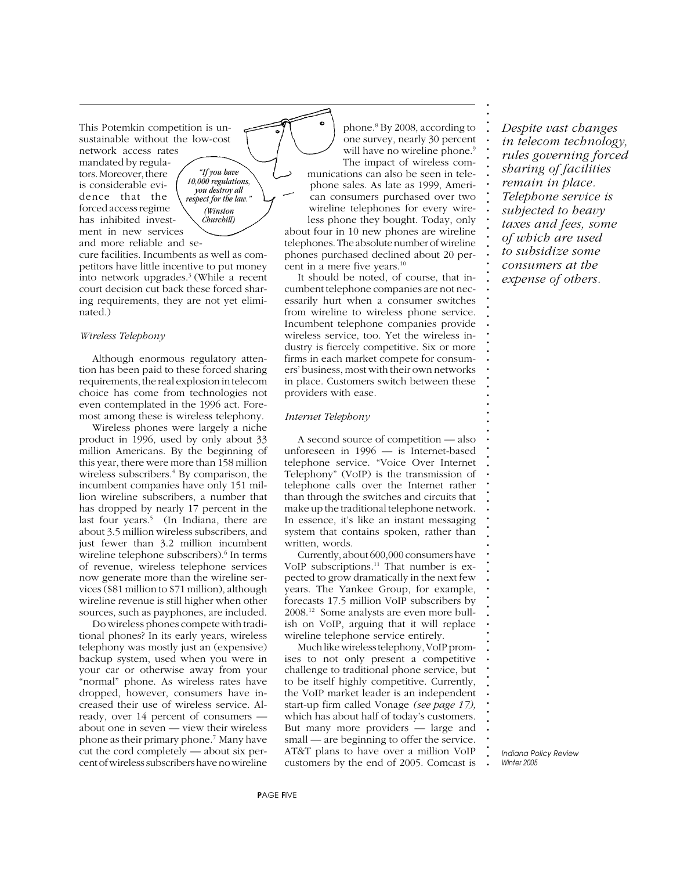This Potemkin competition is unsustainable without the low-cost network access rates mandated by regulators. Moreover, there is considerable evidence that the forced access regime has inhibited invest-

ment in new services

*"If you have 10,000 regulations, you destroy all respect for the law." (Winston Churchill)*

and more reliable and secure facilities. Incumbents as well as competitors have little incentive to put money into network upgrades.3 (While a recent court decision cut back these forced sharing requirements, they are not yet eliminated.)

#### *Wireless Telephony*

Although enormous regulatory attention has been paid to these forced sharing requirements, the real explosion in telecom choice has come from technologies not even contemplated in the 1996 act. Foremost among these is wireless telephony.

Wireless phones were largely a niche product in 1996, used by only about 33 million Americans. By the beginning of this year, there were more than 158 million wireless subscribers.<sup>4</sup> By comparison, the incumbent companies have only 151 million wireline subscribers, a number that has dropped by nearly 17 percent in the last four years.<sup>5</sup> (In Indiana, there are about 3.5 million wireless subscribers, and just fewer than 3.2 million incumbent wireline telephone subscribers).<sup>6</sup> In terms of revenue, wireless telephone services now generate more than the wireline services (\$81 million to \$71 million), although wireline revenue is still higher when other sources, such as payphones, are included.

Do wireless phones compete with traditional phones? In its early years, wireless telephony was mostly just an (expensive) backup system, used when you were in your car or otherwise away from your "normal" phone. As wireless rates have dropped, however, consumers have increased their use of wireless service. Already, over 14 percent of consumers about one in seven — view their wireless phone as their primary phone.7 Many have cut the cord completely — about six percent of wireless subscribers have no wireline

phone.8 By 2008, according to one survey, nearly 30 percent will have no wireline phone.<sup>9</sup> The impact of wireless communications can also be seen in telephone sales. As late as 1999, American consumers purchased over two wireline telephones for every wire**. . . . . . . . . . . . . . . . . . . . . . . . . . . . . . . . . . . . . . . . . . . . . . . . . . . . . . . . . . . . . . . . . . . . . . . . . . .**

less phone they bought. Today, only about four in 10 new phones are wireline telephones. The absolute number of wireline phones purchased declined about 20 percent in a mere five years.<sup>10</sup>

It should be noted, of course, that incumbent telephone companies are not necessarily hurt when a consumer switches from wireline to wireless phone service. Incumbent telephone companies provide wireless service, too. Yet the wireless industry is fiercely competitive. Six or more firms in each market compete for consumers' business, most with their own networks in place. Customers switch between these providers with ease.

#### *Internet Telephony*

A second source of competition — also unforeseen in 1996 — is Internet-based telephone service. "Voice Over Internet Telephony" (VoIP) is the transmission of telephone calls over the Internet rather than through the switches and circuits that make up the traditional telephone network. In essence, it's like an instant messaging system that contains spoken, rather than written, words.

Currently, about 600,000 consumers have VoIP subscriptions.<sup>11</sup> That number is expected to grow dramatically in the next few years. The Yankee Group, for example, forecasts 17.5 million VoIP subscribers by 2008.12 Some analysts are even more bullish on VoIP, arguing that it will replace wireline telephone service entirely.

Much like wireless telephony, VoIP promises to not only present a competitive challenge to traditional phone service, but to be itself highly competitive. Currently, the VoIP market leader is an independent start-up firm called Vonage *(see page 17),* which has about half of today's customers. But many more providers — large and small — are beginning to offer the service. AT&T plans to have over a million VoIP customers by the end of 2005. Comcast is *Despite vast changes in telecom technology, rules governing forced sharing of facilities remain in place. Telephone service is subjected to heavy taxes and fees, some of which are used to subsidize some consumers at the expense of others.*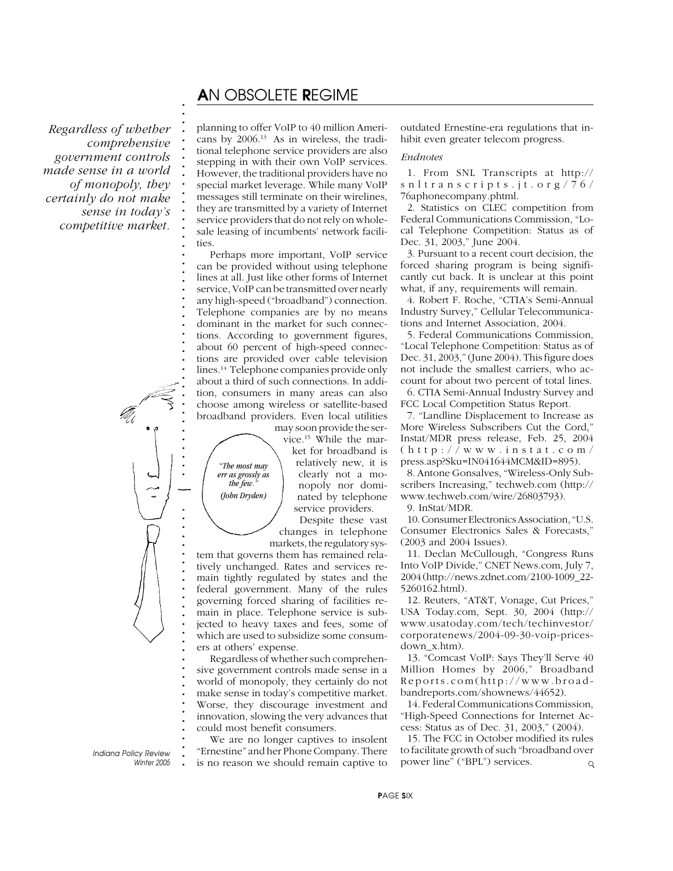### A*N OBSOLETE* R*EGIME*

*Regardless of whether comprehensive government controls made sense in a world of monopoly, they certainly do not make sense in today's competitive market.*

**. . . . . . . . . . . . . . . . . . . . . . . . . . . . .**



**.** *Indiana Policy Review Winter 2005* **. . . . . . . . .**

planning to offer VoIP to 40 million Americans by 2006.13 As in wireless, the traditional telephone service providers are also stepping in with their own VoIP services. However, the traditional providers have no special market leverage. While many VoIP messages still terminate on their wirelines, they are transmitted by a variety of Internet service providers that do not rely on wholesale leasing of incumbents' network facilities.

Perhaps more important, VoIP service can be provided without using telephone lines at all. Just like other forms of Internet service, VoIP can be transmitted over nearly any high-speed ("broadband") connection. Telephone companies are by no means dominant in the market for such connections. According to government figures, about 60 percent of high-speed connections are provided over cable television lines.14 Telephone companies provide only about a third of such connections. In addition, consumers in many areas can also choose among wireless or satellite-based broadband providers. Even local utilities

> *"The most may err as grossly as the few." (John Dryden)*

may soon provide the service.15 While the market for broadband is relatively new, it is clearly not a monopoly nor dominated by telephone service providers.

Despite these vast changes in telephone markets, the regulatory sys-

tem that governs them has remained relatively unchanged. Rates and services remain tightly regulated by states and the federal government. Many of the rules governing forced sharing of facilities remain in place. Telephone service is subjected to heavy taxes and fees, some of which are used to subsidize some consumers at others' expense.

Regardless of whether such comprehensive government controls made sense in a world of monopoly, they certainly do not make sense in today's competitive market. Worse, they discourage investment and innovation, slowing the very advances that could most benefit consumers.

We are no longer captives to insolent "Ernestine" and her Phone Company. There is no reason we should remain captive to outdated Ernestine-era regulations that inhibit even greater telecom progress.

#### *Endnotes*

1. From SNL Transcripts at http:// snltranscripts.jt.org/76/ 76aphonecompany.phtml.

2. Statistics on CLEC competition from Federal Communications Commission, "Local Telephone Competition: Status as of Dec. 31, 2003," June 2004.

3. Pursuant to a recent court decision, the forced sharing program is being significantly cut back. It is unclear at this point what, if any, requirements will remain.

4. Robert F. Roche, "CTIA's Semi-Annual Industry Survey," Cellular Telecommunications and Internet Association, 2004.

5. Federal Communications Commission, "Local Telephone Competition: Status as of Dec. 31, 2003," (June 2004). This figure does not include the smallest carriers, who account for about two percent of total lines.

6. CTIA Semi-Annual Industry Survey and FCC Local Competition Status Report.

7. "Landline Displacement to Increase as More Wireless Subscribers Cut the Cord," Instat/MDR press release, Feb. 25, 2004 (http://www.instat.com/ press.asp?Sku=IN041644MCM&ID=895).

8. Antone Gonsalves, "Wireless-Only Subscribers Increasing," techweb.com (http:// www.techweb.com/wire/26803793).

9. InStat/MDR.

10. Consumer Electronics Association, "U.S. Consumer Electronics Sales & Forecasts," (2003 and 2004 Issues).

11. Declan McCullough, "Congress Runs Into VoIP Divide," CNET News.com, July 7, 2004 (http://news.zdnet.com/2100-1009\_22- 5260162.html).

12. Reuters, "AT&T, Vonage, Cut Prices," USA Today.com, Sept. 30, 2004 (http:// www.usatoday.com/tech/techinvestor/ corporatenews/2004-09-30-voip-pricesdown\_x.htm).

13. "Comcast VoIP: Says They'll Serve 40 Million Homes by 2006," Broadband Reports.com(http://www.broadbandreports.com/shownews/44652).

14. Federal Communications Commission, "High-Speed Connections for Internet Access: Status as of Dec. 31, 2003," (2004).

15. The FCC in October modified its rules to facilitate growth of such "broadband over power line" ("BPL") services.  $\circ$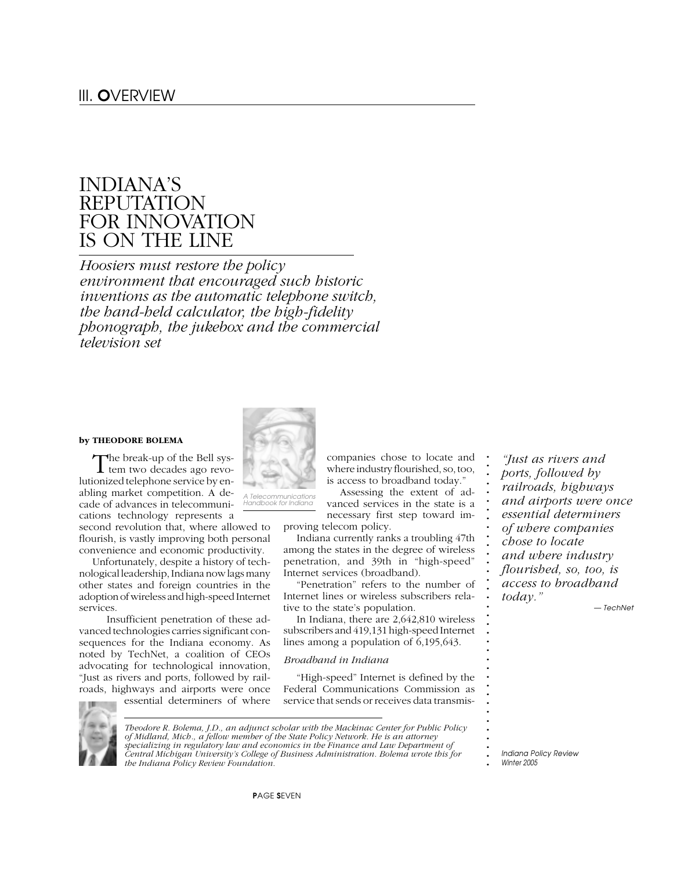# INDIANA'S REPUTATION FOR INNOVATION IS ON THE LINE

*Hoosiers must restore the policy environment that encouraged such historic inventions as the automatic telephone switch, the hand-held calculator, the high-fidelity phonograph, the jukebox and the commercial television set*

#### **by THEODORE BOLEMA**

The break-up of the Bell sys-<br>tem two decades ago revolutionized telephone service by enabling market competition. A decade of advances in telecommunications technology represents a

second revolution that, where allowed to flourish, is vastly improving both personal convenience and economic productivity.

Unfortunately, despite a history of technological leadership, Indiana now lags many other states and foreign countries in the adoption of wireless and high-speed Internet services.

 Insufficient penetration of these advanced technologies carries significant consequences for the Indiana economy. As noted by TechNet, a coalition of CEOs advocating for technological innovation, "Just as rivers and ports, followed by railroads, highways and airports were once

essential determiners of where



*Theodore R. Bolema, J.D., an adjunct scholar with the Mackinac Center for Public Policy of Midland, Mich., a fellow member of the State Policy Network. He is an attorney specializing in regulatory law and economics in the Finance and Law Department of Central Michigan University's College of Business Administration. Bolema wrote this for the Indiana Policy Review Foundation.*

companies chose to locate and where industry flourished, so, too, is access to broadband today."

Assessing the extent of advanced services in the state is a necessary first step toward im-

proving telecom policy.

Indiana currently ranks a troubling 47th among the states in the degree of wireless penetration, and 39th in "high-speed" Internet services (broadband).

"Penetration" refers to the number of Internet lines or wireless subscribers relative to the state's population.

In Indiana, there are 2,642,810 wireless subscribers and 419,131 high-speed Internet lines among a population of 6,195,643.

#### *Broadband in Indiana*

"High-speed" Internet is defined by the Federal Communications Commission as service that sends or receives data transmis-

*"Just as rivers and ports, followed by railroads, highways and airports were once essential determiners of where companies chose to locate and where industry flourished, so, too, is access to broadband today." — TechNet*

*A Telecommunications Handbook for Indiana*

**.** *Winter 2005*

**. . . . . . . . . . . . . . . . . . . . . . . . . . . . . . . . . .**

**<sup>.</sup>** *Indiana Policy Review*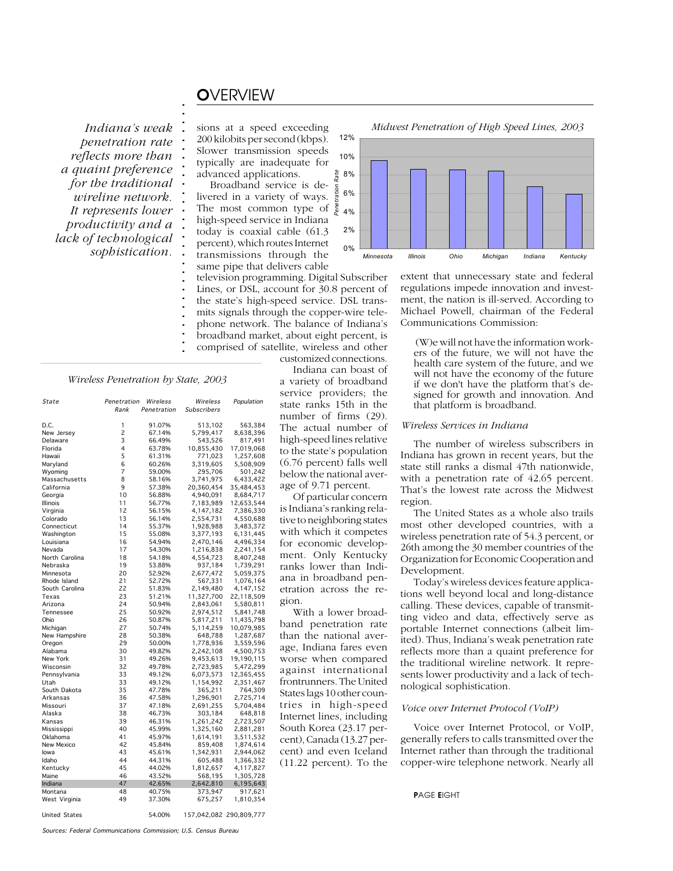# O*VERVIEW*

**. . . . . . . . . . . . . . . . . . . . . . . . . . . . . .**

*penetration rate reflects more than a quaint preference for the traditional wireline network. It represents lower productivity and a lack of technological sophistication.*

sions at a speed exceeding 200 kilobits per second (kbps). Slower transmission speeds typically are inadequate for advanced applications.

Broadband service is deation livered in a variety of ways. The most common type of high-speed service in Indiana today is coaxial cable (61.3 percent), which routes Internet transmissions through the same pipe that delivers cable television programming. Digital Subscriber

Lines, or DSL, account for 30.8 percent of the state's high-speed service. DSL transmits signals through the copper-wire telephone network. The balance of Indiana's broadband market, about eight percent, is comprised of satellite, wireless and other customized connections.

> Indiana can boast of a variety of broadband service providers; the state ranks 15th in the number of firms (29). The actual number of high-speed lines relative to the state's population (6.76 percent) falls well below the national average of 9.71 percent.

Penetration Rate

Of particular concern is Indiana's ranking relative to neighboring states with which it competes for economic development. Only Kentucky ranks lower than Indiana in broadband penetration across the region.

With a lower broadband penetration rate than the national average, Indiana fares even worse when compared against international frontrunners. The United States lags 10 other countries in high-speed Internet lines, including South Korea (23.17 percent), Canada (13.27 percent) and even Iceland (11.22 percent). To the





extent that unnecessary state and federal regulations impede innovation and investment, the nation is ill-served. According to Michael Powell, chairman of the Federal Communications Commission:

 (W)e will not have the information workers of the future, we will not have the health care system of the future, and we will not have the economy of the future if we don't have the platform that's designed for growth and innovation. And that platform is broadband.

#### *Wireless Services in Indiana*

The number of wireless subscribers in Indiana has grown in recent years, but the state still ranks a dismal 47th nationwide, with a penetration rate of 42.65 percent. That's the lowest rate across the Midwest region.

The United States as a whole also trails most other developed countries, with a wireless penetration rate of 54.3 percent, or 26th among the 30 member countries of the Organization for Economic Cooperation and Development.

Today's wireless devices feature applications well beyond local and long-distance calling. These devices, capable of transmitting video and data, effectively serve as portable Internet connections (albeit limited). Thus, Indiana's weak penetration rate reflects more than a quaint preference for the traditional wireline network. It represents lower productivity and a lack of technological sophistication.

#### *Voice over Internet Protocol (VoIP)*

Voice over Internet Protocol, or VoIP, generally refers to calls transmitted over the Internet rather than through the traditional copper-wire telephone network. Nearly all

#### P*AGE* E*IGHT*

# **. .** *Wireless Penetration by State, 2003*

| State          | Penetration | Wireless    | Wireless           | Population |
|----------------|-------------|-------------|--------------------|------------|
|                | Rank        | Penetration | <b>Subscribers</b> |            |
| D.C.           | 1           | 91.07%      | 513,102            | 563,384    |
| New Jersey     | 2           | 67.14%      | 5,799,417          | 8,638,396  |
| Delaware       | 3           | 66.49%      | 543,526            | 817,491    |
| Florida        | 4           | 63.78%      | 10,855,430         | 17,019,068 |
| Hawaii         | 5           | 61.31%      | 771,023            | 1,257,608  |
| Maryland       | 6           | 60.26%      | 3,319,605          | 5,508,909  |
| Wyoming        | 7           | 59.00%      | 295,706            | 501,242    |
| Massachusetts  | 8           | 58.16%      | 3,741,975          | 6,433,422  |
| California     | 9           | 57.38%      | 20,360,454         | 35,484,453 |
| Georgia        | 10          | 56.88%      | 4,940,091          | 8,684,717  |
| Illinois       | 11          | 56.77%      | 7,183,989          | 12,653,544 |
| Virginia       | 12          | 56.15%      | 4,147,182          | 7,386,330  |
| Colorado       | 13          | 56.14%      | 2,554,731          | 4,550,688  |
| Connecticut    | 14          | 55.37%      | 1,928,988          | 3,483,372  |
| Washington     | 15          | 55.08%      | 3,377,193          | 6,131,445  |
| Louisiana      | 16          | 54.94%      | 2,470,146          | 4,496,334  |
| Nevada         | 17          | 54.30%      | 1,216,838          | 2,241,154  |
| North Carolina | 18          | 54.18%      | 4,554,723          | 8,407,248  |
| Nebraska       | 19          | 53.88%      | 937,184            | 1,739,291  |
| Minnesota      | 20          | 52.92%      | 2,677,472          | 5,059,375  |
| Rhode Island   | 21          | 52.72%      | 567,331            | 1,076,164  |
| South Carolina | 22          | 51.83%      | 2,149,480          | 4,147,152  |
| Texas          | 23          | 51.21%      | 11,327,700         | 22,118,509 |
| Arizona        | 24          | 50.94%      | 2,843,061          | 5,580,811  |
| Tennessee      | 25          | 50.92%      | 2,974,512          | 5,841,748  |
| Ohio           | 26          | 50.87%      | 5,817,211          | 11,435,798 |
| Michigan       | 27          | 50.74%      | 5,114,259          | 10,079,985 |
| New Hampshire  | 28          | 50.38%      | 648,788            | 1,287,687  |
| Oregon         | 29          | 50.00%      | 1,778,936          | 3,559,596  |
| Alabama        | 30          | 49.82%      | 2,242,108          | 4,500,753  |
| New York       | 31          | 49.26%      | 9,453,613          | 19,190,115 |
| Wisconsin      | 32          | 49.78%      | 2,723,985          | 5,472,299  |
| Pennsylvania   | 33          | 49.12%      | 6,073,573          | 12,365,455 |
| Utah           | 33          | 49.12%      | 1,154,992          | 2,351,467  |
| South Dakota   | 35          | 47.78%      | 365,211            | 764,309    |
| Arkansas       | 36          | 47.58%      | 1,296,901          | 2,725,714  |
| Missouri       | 37          | 47.18%      | 2,691,255          | 5,704,484  |
| Alaska         | 38          | 46.73%      | 303,184            | 648,818    |
| Kansas         | 39          | 46.31%      | 1,261,242          | 2,723,507  |
| Mississippi    | 40          | 45.99%      | 1,325,160          | 2,881,281  |
| Oklahoma       | 41          | 45.97%      | 1,614,191          | 3,511,532  |
| New Mexico     | 42          | 45.84%      | 859,408            | 1,874,614  |
| lowa           | 43          | 45.61%      | 1,342,931          | 2,944,062  |
| Idaho          | 44          | 44.31%      | 605,488            | 1,366,332  |
| Kentucky       | 45          | 44.02%      | 1,812,657          | 4,117,827  |
| Maine          | 46          | 43.52%      | 568,195            | 1,305,728  |
| Indiana        | 47          | 42.65%      | 2,642,810          | 6,195,643  |
| Montana        | 48          | 40.75%      | 373,947            | 917,621    |
| West Virginia  | 49          | 37.30%      | 675,257            | 1,810,354  |

United States 54.00% 157,042,082 290,809,777

Sources: Federal Communications Commission; U.S. Census Bureau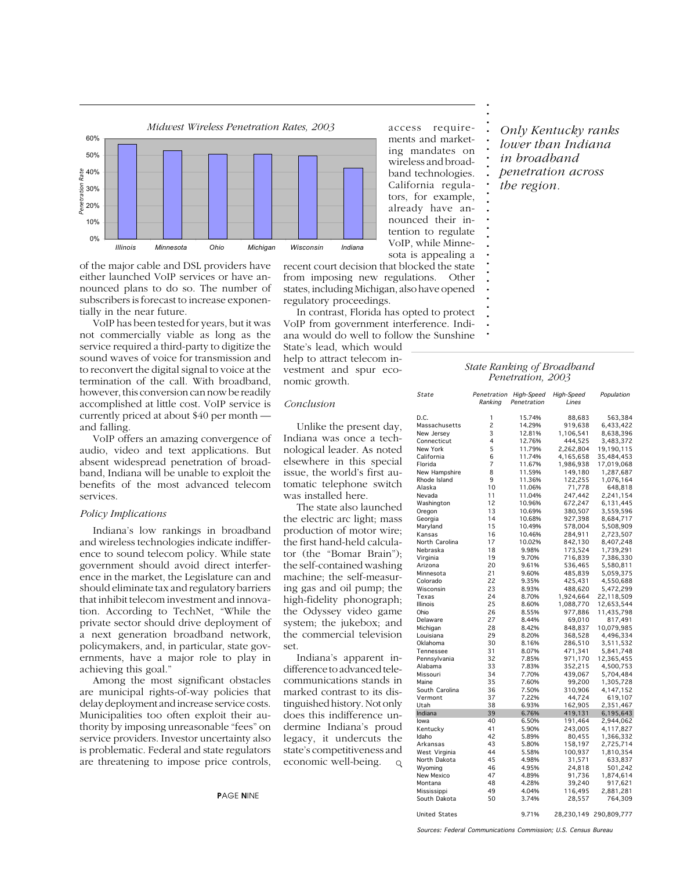

of the major cable and DSL providers have either launched VoIP services or have announced plans to do so. The number of subscribers is forecast to increase exponentially in the near future.

VoIP has been tested for years, but it was not commercially viable as long as the service required a third-party to digitize the sound waves of voice for transmission and to reconvert the digital signal to voice at the termination of the call. With broadband, however, this conversion can now be readily accomplished at little cost. VoIP service is currently priced at about \$40 per month and falling.

VoIP offers an amazing convergence of audio, video and text applications. But absent widespread penetration of broadband, Indiana will be unable to exploit the benefits of the most advanced telecom services.

#### *Policy Implications*

Indiana's low rankings in broadband and wireless technologies indicate indifference to sound telecom policy. While state government should avoid direct interference in the market, the Legislature can and should eliminate tax and regulatory barriers that inhibit telecom investment and innovation. According to TechNet, "While the private sector should drive deployment of a next generation broadband network, policymakers, and, in particular, state governments, have a major role to play in achieving this goal."

Among the most significant obstacles are municipal rights-of-way policies that delay deployment and increase service costs. Municipalities too often exploit their authority by imposing unreasonable "fees" on service providers. Investor uncertainty also is problematic. Federal and state regulators are threatening to impose price controls,

access requirements and marketing mandates on wireless and broadband technologies. California regulators, for example, already have announced their intention to regulate VoIP, while Minnesota is appealing a

recent court decision that blocked the state from imposing new regulations. Other states, including Michigan, also have opened regulatory proceedings.

In contrast, Florida has opted to protect VoIP from government interference. Indiana would do well to follow the Sunshine

State's lead, which would help to attract telecom investment and spur economic growth.

Unlike the present day, Indiana was once a technological leader. As noted elsewhere in this special issue, the world's first automatic telephone switch was installed here.

The state also launched the electric arc light; mass production of motor wire; the first hand-held calculator (the "Bomar Brain"); the self-contained washing machine; the self-measuring gas and oil pump; the high-fidelity phonograph; the Odyssey video game system; the jukebox; and the commercial television

Indiana's apparent indifference to advanced telecommunications stands in marked contrast to its distinguished history. Not only does this indifference undermine Indiana's proud legacy, it undercuts the state's competitiveness and economic well-being.

*Conclusion*

set.

**. . . . . . . . . . . . . . . .**

**. .**

**. . . . . . . . . .**

*Only Kentucky ranks lower than Indiana in broadband penetration across the region.*

# **.** *State Ranking of Broadband*

| State                | Penetration<br>Ranking   | High-Speed<br>Penetration | High-Speed<br>Lines | Population             |
|----------------------|--------------------------|---------------------------|---------------------|------------------------|
| D.C.                 | 1                        | 15.74%                    | 88,683              | 563,384                |
| Massachusetts        | $\overline{c}$           | 14.29%                    | 919,638             | 6,433,422              |
| New Jersey           | 3                        | 12.81%                    | 1,106,541           | 8,638,396              |
| Connecticut          | 4                        | 12.76%                    | 444,525             | 3,483,372              |
| New York             | 5                        | 11.79%                    | 2,262,804           | 19,190,115             |
| California           | 6                        | 11.74%                    | 4,165,658           | 35,484,453             |
| Florida              | $\overline{\mathcal{L}}$ | 11.67%                    | 1,986,938           | 17,019,068             |
| New Hampshire        | 8                        | 11.59%                    | 149,180             | 1,287,687              |
| Rhode Island         | 9                        | 11.36%                    | 122,255             | 1,076,164              |
| Alaska               | 10                       | 11.06%                    | 71,778              | 648,818                |
| Nevada               | 11                       | 11.04%                    | 247,442             | 2,241,154              |
| Washington           | 12                       | 10.96%                    | 672,247             | 6,131,445              |
| Oregon               | 13                       | 10.69%                    | 380,507             | 3,559,596              |
| Georgia              | 14                       | 10.68%                    | 927,398             | 8,684,717              |
| Maryland             | 15                       | 10.49%                    | 578,004             | 5,508,909              |
| Kansas               | 16                       | 10.46%                    | 284,911             | 2,723,507              |
| North Carolina       | 17                       | 10.02%                    | 842,130             | 8,407,248              |
| Nebraska             | 18                       | 9.98%                     | 173,524             | 1,739,291              |
| Virginia             | 19                       | 9.70%                     | 716,839             | 7,386,330              |
| Arizona              | 20                       | 9.61%                     | 536,465             | 5,580,811              |
| Minnesota            | 21                       | 9.60%                     | 485,839             | 5,059,375              |
| Colorado             | 22                       | 9.35%                     | 425,431             | 4,550,688              |
| Wisconsin            | 23                       | 8.93%                     | 488,620             | 5,472,299              |
| Texas                | 24                       | 8.70%                     | 1,924,664           | 22,118,509             |
| Illinois             | 25                       | 8.60%                     | 1,088,770           | 12,653,544             |
| Ohio                 | 26                       | 8.55%                     | 977,886             | 11,435,798             |
| Delaware             | 27                       | 8.44%                     | 69,010              | 817,491                |
| Michigan             | 28                       | 8.42%                     | 848,837             | 10,079,985             |
| Louisiana            | 29                       | 8.20%                     | 368,528             | 4,496,334              |
| Oklahoma             | 30                       | 8.16%                     | 286,510             | 3,511,532              |
| Tennessee            | 31                       | 8.07%                     | 471,341             | 5,841,748              |
| Pennsylvania         | 32                       | 7.85%                     | 971,170             | 12,365,455             |
| Alabama              | 33                       | 7.83%                     | 352,215             | 4,500,753              |
| Missouri             | 34                       | 7.70%                     | 439,067             | 5,704,484              |
| Maine                | 35                       | 7.60%                     | 99,200              | 1,305,728              |
| South Carolina       | 36                       | 7.50%                     | 310,906             | 4,147,152              |
| Vermont<br>Utah      | 37<br>38                 | 7.22%                     | 44,724              | 619,107                |
| Indiana              | 39                       | 6.93%                     | 162,905             | 2,351,467              |
| lowa                 | 40                       | 6.76%<br>6.50%            | 419,131<br>191,464  | 6,195,643<br>2,944,062 |
| Kentucky             | 41                       | 5.90%                     | 243,005             | 4,117,827              |
| Idaho                | 42                       | 5.89%                     | 80,455              | 1,366,332              |
| Arkansas             | 43                       | 5.80%                     | 158,197             | 2,725,714              |
| West Virginia        | 44                       | 5.58%                     | 100,937             | 1,810,354              |
| North Dakota         | 45                       | 4.98%                     | 31,571              | 633,837                |
| Wyoming              | 46                       | 4.95%                     | 24,818              | 501,242                |
| New Mexico           | 47                       | 4.89%                     | 91,736              | 1,874,614              |
| Montana              | 48                       | 4.28%                     | 39,240              | 917,621                |
| Mississippi          | 49                       | 4.04%                     | 116,495             | 2,881,281              |
| South Dakota         | 50                       | 3.74%                     | 28,557              | 764,309                |
|                      |                          |                           |                     |                        |
| <b>United States</b> |                          | 9.71%                     | 28.230.149          | 290.809.777            |

 $\mathsf{Q}$ 

Sources: Federal Communications Commission; U.S. Census Bureau

**.** *Penetration, 2003* **.**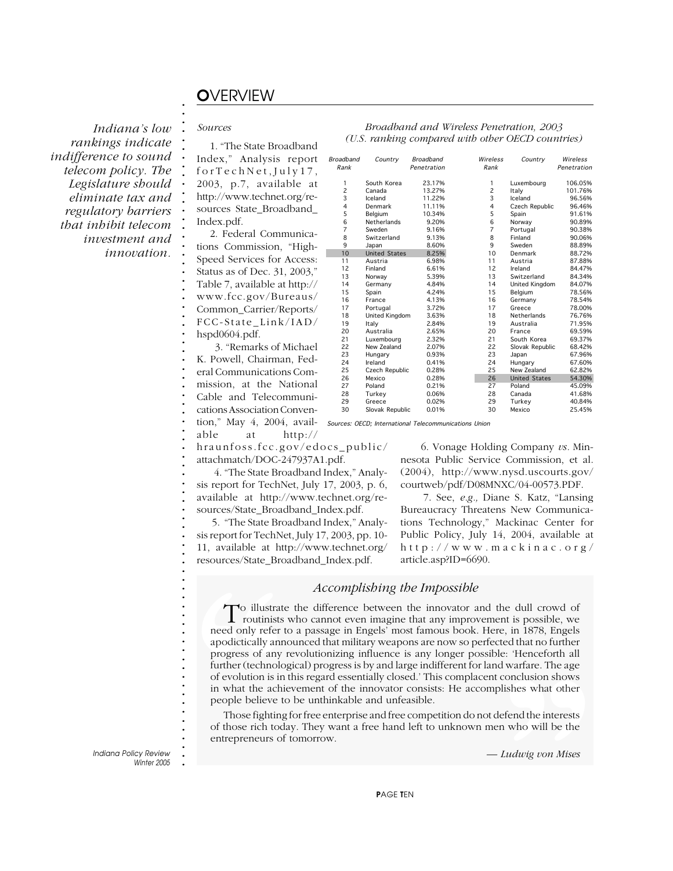# O*VERVIEW*

*Indiana's low rankings indicate indifference to sound telecom policy. The Legislature should eliminate tax and regulatory barriers that inhibit telecom investment and innovation.*

#### *Sources*

**. . . . . . . . . . . . . . . . . . . . . . . . . . . . . . . . . . . . . . . . . . . . . . . . . . . . . . . . . . . . . . . . . . . . . . . . . . .**

1. "The State Broadband Index," Analysis report forTechNet,July17, 2003, p.7, available at http://www.technet.org/resources State\_Broadband\_ Index.pdf.

2. Federal Communications Commission, "High-Speed Services for Access: Status as of Dec. 31, 2003," Table 7, available at http:// www.fcc.gov/Bureaus/ Common\_Carrier/Reports/ FCC-State\_Link/IAD/ hspd0604.pdf.

 3. "Remarks of Michael K. Powell, Chairman, Federal Communications Commission, at the National Cable and Telecommunications Association Convention," May 4, 2004, avail-Sources: OECD; International Telecommunications Union

able at http://

hraunfoss.fcc.gov/edocs\_public/ attachmatch/DOC-247937A1.pdf.

 4. "The State Broadband Index," Analysis report for TechNet, July 17, 2003, p. 6, available at http://www.technet.org/resources/State\_Broadband\_Index.pdf.

 5. "The State Broadband Index," Analysis report for TechNet, July 17, 2003, pp. 10- 11, available at http://www.technet.org/ resources/State\_Broadband\_Index.pdf.

#### *Broadband and Wireless Penetration, 2003 (U.S. ranking compared with other OECD countries)*

| Broadband      | Country               | <b>Broadband</b> | Wireless       | Country              | Wireless    |
|----------------|-----------------------|------------------|----------------|----------------------|-------------|
| Rank           |                       | Penetration      | Rank           |                      | Penetration |
|                |                       |                  |                |                      |             |
| 1              | South Korea           | 23.17%           | 1              | Luxembourg           | 106.05%     |
| $\overline{c}$ | Canada                | 13.27%           | 2              | Italy                | 101.76%     |
| 3              | Iceland               | 11.22%           | 3              | Iceland              | 96.56%      |
| 4              | Denmark               | 11.11%           | 4              | Czech Republic       | 96.46%      |
| 5              | Belgium               | 10.34%           | 5              | Spain                | 91.61%      |
| 6              | Netherlands           | 9.20%            | 6              | Norway               | 90.89%      |
| $\overline{7}$ | Sweden                | 9.16%            | $\overline{7}$ | Portugal             | 90.38%      |
| 8              | Switzerland           | 9.13%            | 8              | Finland              | 90.06%      |
| 9              | Japan                 | 8.60%            | 9              | Sweden               | 88.89%      |
| 10             | <b>United States</b>  | 8.25%            | 10             | Denmark              | 88.72%      |
| 11             | Austria               | 6.98%            | 11             | Austria              | 87.88%      |
| 12             | Finland               | 6.61%            | 12             | Ireland              | 84.47%      |
| 13             | Norway                | 5.39%            | 13             | Switzerland          | 84.34%      |
| 14             | Germany               | 4.84%            | 14             | United Kingdom       | 84.07%      |
| 15             | Spain                 | 4.24%            | 15             | Belgium              | 78.56%      |
| 16             | France                | 4.13%            | 16             | Germany              | 78.54%      |
| 17             | Portugal              | 3.72%            | 17             | Greece               | 78.00%      |
| 18             | <b>United Kingdom</b> | 3.63%            | 18             | Netherlands          | 76.76%      |
| 19             | Italy                 | 2.84%            | 19             | Australia            | 71.95%      |
| 20             | Australia             | 2.65%            | 20             | France               | 69.59%      |
| 21             | Luxembourg            | 2.32%            | 21             | South Korea          | 69.37%      |
| 22             | New Zealand           | 2.07%            | 22             | Slovak Republic      | 68.42%      |
| 23             | Hungary               | 0.93%            | 23             | Japan                | 67.96%      |
| 24             | Ireland               | 0.41%            | 24             | Hungary              | 67.60%      |
| 25             | Czech Republic        | 0.28%            | 25             | New Zealand          | 62.82%      |
| 26             | Mexico                | 0.28%            | 26             | <b>United States</b> | 54.30%      |
| 27             | Poland                | 0.21%            | 27             | Poland               | 45.09%      |
| 28             | Turkey                | 0.06%            | 28             | Canada               | 41.68%      |
| 29             | Greece                | 0.02%            | 29             | Turkey               | 40.84%      |
| 30             | Slovak Republic       | 0.01%            | 30             | Mexico               | 25.45%      |
|                |                       |                  |                |                      |             |

 6. Vonage Holding Company *vs.* Minnesota Public Service Commission, et al. (2004), http://www.nysd.uscourts.gov/ courtweb/pdf/D08MNXC/04-00573.PDF.

 7. See, *e.g.,* Diane S. Katz, "Lansing Bureaucracy Threatens New Communications Technology," Mackinac Center for Public Policy, July 14, 2004, available at http://www.mackinac.org/ article.asp?ID=6690.

#### *Accomplishing the Impossible*

To illustrate<br>routinists<br>need only refer to<br>apodictically anno<br>progress of any 1<br>further (technolog<br>of evolution is in<br>in what the achie<br>people believe to<br>Those fighting<br>of those rich toda<br>entrepreneurs of e. Thereform and warfare. The age conclusion shows<br>dishes what other<br>efend the interests<br>n who will be the<br>Ludwig von Mises To illustrate the difference between the innovator and the dull crowd of routinists who cannot even imagine that any improvement is possible, we need only refer to a passage in Engels' most famous book. Here, in 1878, Engels apodictically announced that military weapons are now so perfected that no further progress of any revolutionizing influence is any longer possible: 'Henceforth all further (technological) progress is by and large indifferent for land warfare. The age of evolution is in this regard essentially closed.' This complacent conclusion shows in what the achievement of the innovator consists: He accomplishes what other people believe to be unthinkable and unfeasible.

Those fighting for free enterprise and free competition do not defend the interests of those rich today. They want a free hand left to unknown men who will be the entrepreneurs of tomorrow.

*— Ludwig von Mises*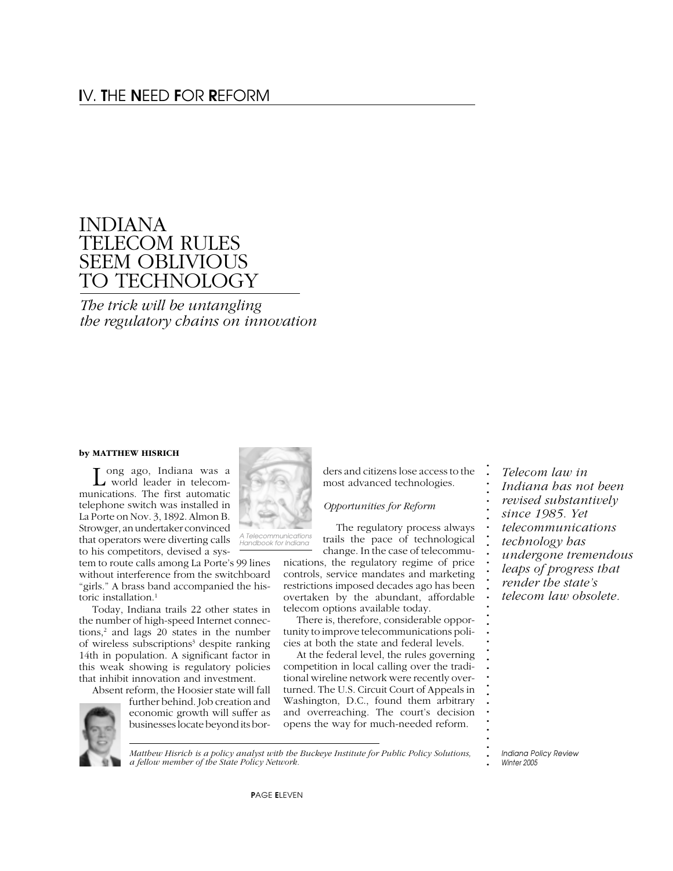# INDIANA TELECOM RULES SEEM OBLIVIOUS TO TECHNOLOGY

*The trick will be untangling the regulatory chains on innovation*

#### **by MATTHEW HISRICH**

Long ago, Indiana was a<br>world leader in telecommunications. The first automatic telephone switch was installed in La Porte on Nov. 3, 1892. Almon B. Strowger, an undertaker convinced that operators were diverting calls to his competitors, devised a sys-

tem to route calls among La Porte's 99 lines without interference from the switchboard "girls." A brass band accompanied the historic installation.<sup>1</sup>

Today, Indiana trails 22 other states in the number of high-speed Internet connections,<sup>2</sup> and lags 20 states in the number of wireless subscriptions<sup>3</sup> despite ranking 14th in population. A significant factor in this weak showing is regulatory policies that inhibit innovation and investment.

Absent reform, the Hoosier state will fall further behind. Job creation and economic growth will suffer as businesses locate beyond its bor-

**. .** *Matthew Hisrich is a policy analyst with the Buckeye Institute for Public Policy Solutions, a fellow member of the State Policy Network.*

*A Telecommunications Handbook for Indiana*

*Opportunities for Reform*

ders and citizens lose access to the most advanced technologies.

The regulatory process always trails the pace of technological change. In the case of telecommu-

nications, the regulatory regime of price controls, service mandates and marketing restrictions imposed decades ago has been overtaken by the abundant, affordable telecom options available today.

There is, therefore, considerable opportunity to improve telecommunications policies at both the state and federal levels.

At the federal level, the rules governing competition in local calling over the traditional wireline network were recently overturned. The U.S. Circuit Court of Appeals in Washington, D.C., found them arbitrary and overreaching. The court's decision opens the way for much-needed reform.

*Telecom law in Indiana has not been revised substantively since 1985. Yet telecommunications technology has undergone tremendous leaps of progress that render the state's telecom law obsolete.*

**. . . . . . . . . . . . . . . . . . . . . . . . . . . . . . . .**





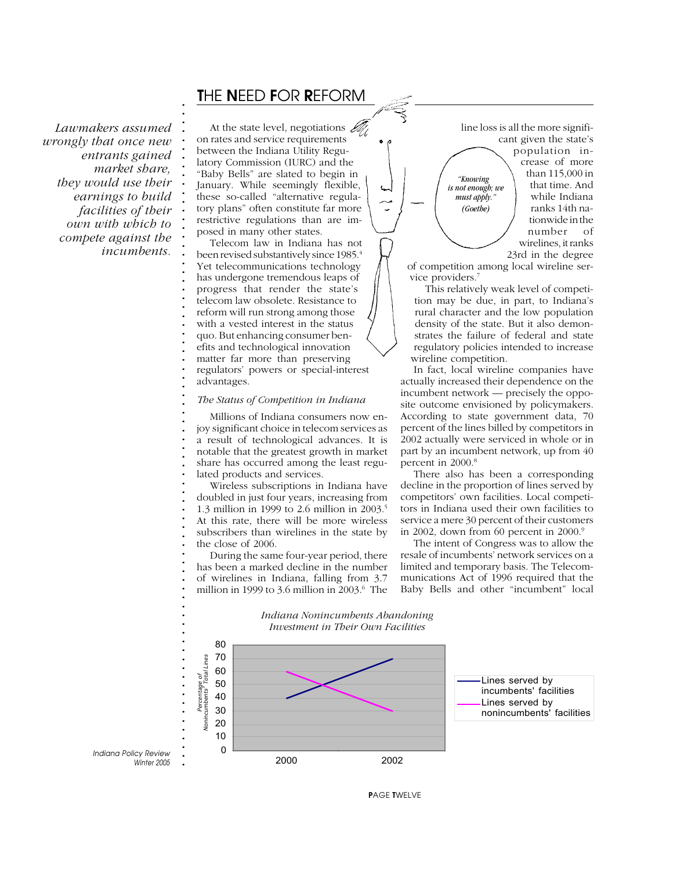### T*HE* N*EED* F*OR* R*EFORM*

*Lawmakers assumed wrongly that once new entrants gained market share, they would use their earnings to build facilities of their own with which to compete against the incumbents.*

**. . . . . . . . . . . . . . . . . . . . . . . . . . . . . . . . . . . . . . . . . . . . . . . . . . . . . . . . . . . .**

At the state level, negotiations  $\mathcal{L}$ on rates and service requirements between the Indiana Utility Regulatory Commission (IURC) and the "Baby Bells" are slated to begin in January. While seemingly flexible, these so-called "alternative regulatory plans" often constitute far more restrictive regulations than are imposed in many other states.

Telecom law in Indiana has not been revised substantively since 1985.4 Yet telecommunications technology has undergone tremendous leaps of progress that render the state's telecom law obsolete. Resistance to reform will run strong among those with a vested interest in the status quo. But enhancing consumer benefits and technological innovation matter far more than preserving regulators' powers or special-interest advantages.

#### *The Status of Competition in Indiana*

Millions of Indiana consumers now enjoy significant choice in telecom services as a result of technological advances. It is notable that the greatest growth in market share has occurred among the least regulated products and services.

Wireless subscriptions in Indiana have doubled in just four years, increasing from 1.3 million in 1999 to 2.6 million in 2003.5 At this rate, there will be more wireless subscribers than wirelines in the state by the close of 2006.

During the same four-year period, there has been a marked decline in the number of wirelines in Indiana, falling from 3.7 million in 1999 to 3.6 million in 2003.6 The

line loss is all the more significant given the state's population increase of more than 115,000 in that time. And while Indiana ranks 14th nationwide in the number of wirelines, it ranks 23rd in the degree  *"Knowing is not enough; we* must apply. *(Goethe)*

of competition among local wireline service providers.7

This relatively weak level of competition may be due, in part, to Indiana's rural character and the low population density of the state. But it also demonstrates the failure of federal and state regulatory policies intended to increase wireline competition.

In fact, local wireline companies have actually increased their dependence on the incumbent network — precisely the opposite outcome envisioned by policymakers. According to state government data, 70 percent of the lines billed by competitors in 2002 actually were serviced in whole or in part by an incumbent network, up from 40 percent in 2000.<sup>8</sup>

There also has been a corresponding decline in the proportion of lines served by competitors' own facilities. Local competitors in Indiana used their own facilities to service a mere 30 percent of their customers in 2002, down from 60 percent in 2000.<sup>9</sup>

The intent of Congress was to allow the resale of incumbents' network services on a limited and temporary basis. The Telecommunications Act of 1996 required that the Baby Bells and other "incumbent" local



#### *Indiana Nonincumbents Abandoning Investment in Their Own Facilities*

P*AGE* T*WELVE*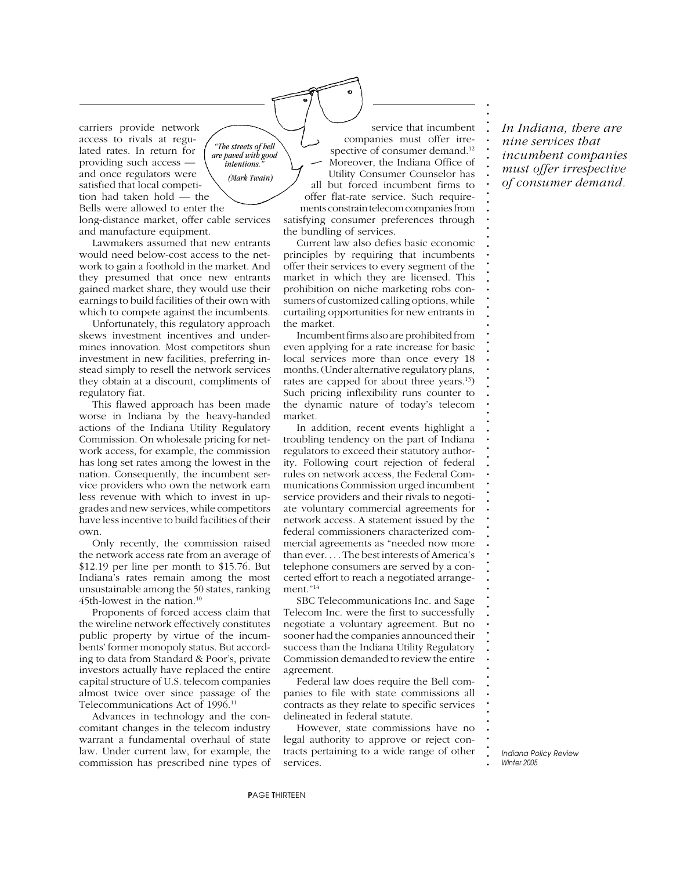carriers provide network access to rivals at regulated rates. In return for providing such access and once regulators were satisfied that local competition had taken hold — the Bells were allowed to enter the long-distance market, offer cable services and manufacture equipment. *"The streets of hell are paved with good*  $intentions.$  *(Mark Twain)*

Lawmakers assumed that new entrants would need below-cost access to the network to gain a foothold in the market. And they presumed that once new entrants gained market share, they would use their earnings to build facilities of their own with which to compete against the incumbents.

Unfortunately, this regulatory approach skews investment incentives and undermines innovation. Most competitors shun investment in new facilities, preferring instead simply to resell the network services they obtain at a discount, compliments of regulatory fiat.

This flawed approach has been made worse in Indiana by the heavy-handed actions of the Indiana Utility Regulatory Commission. On wholesale pricing for network access, for example, the commission has long set rates among the lowest in the nation. Consequently, the incumbent service providers who own the network earn less revenue with which to invest in upgrades and new services, while competitors have less incentive to build facilities of their own.

Only recently, the commission raised the network access rate from an average of \$12.19 per line per month to \$15.76. But Indiana's rates remain among the most unsustainable among the 50 states, ranking 45th-lowest in the nation.<sup>10</sup>

Proponents of forced access claim that the wireline network effectively constitutes public property by virtue of the incumbents' former monopoly status. But according to data from Standard & Poor's, private investors actually have replaced the entire capital structure of U.S. telecom companies almost twice over since passage of the Telecommunications Act of 1996.<sup>11</sup>

Advances in technology and the concomitant changes in the telecom industry warrant a fundamental overhaul of state law. Under current law, for example, the commission has prescribed nine types of

service that incumbent companies must offer irrespective of consumer demand.12 Moreover, the Indiana Office of Utility Consumer Counselor has all but forced incumbent firms to offer flat-rate service. Such requirements constrain telecom companies from satisfying consumer preferences through the bundling of services.

Current law also defies basic economic principles by requiring that incumbents offer their services to every segment of the market in which they are licensed. This prohibition on niche marketing robs consumers of customized calling options, while curtailing opportunities for new entrants in the market.

Incumbent firms also are prohibited from even applying for a rate increase for basic local services more than once every 18 months. (Under alternative regulatory plans, rates are capped for about three years.<sup>13</sup>) Such pricing inflexibility runs counter to the dynamic nature of today's telecom market.

In addition, recent events highlight a troubling tendency on the part of Indiana regulators to exceed their statutory authority. Following court rejection of federal rules on network access, the Federal Communications Commission urged incumbent service providers and their rivals to negotiate voluntary commercial agreements for network access. A statement issued by the federal commissioners characterized commercial agreements as "needed now more than ever. . . . The best interests of America's telephone consumers are served by a concerted effort to reach a negotiated arrangement."14

SBC Telecommunications Inc. and Sage Telecom Inc. were the first to successfully negotiate a voluntary agreement. But no sooner had the companies announced their success than the Indiana Utility Regulatory Commission demanded to review the entire agreement.

Federal law does require the Bell companies to file with state commissions all contracts as they relate to specific services delineated in federal statute.

However, state commissions have no legal authority to approve or reject contracts pertaining to a wide range of other services.

*In Indiana, there are nine services that incumbent companies must offer irrespective of consumer demand.*

**. . . . . . . . . . . . . . . . . . . . . . . . . . . . . . . . . . . . . . . . . . . . . . . . . . . . . . . . . . . . . . . . . . . . . . . . . . .**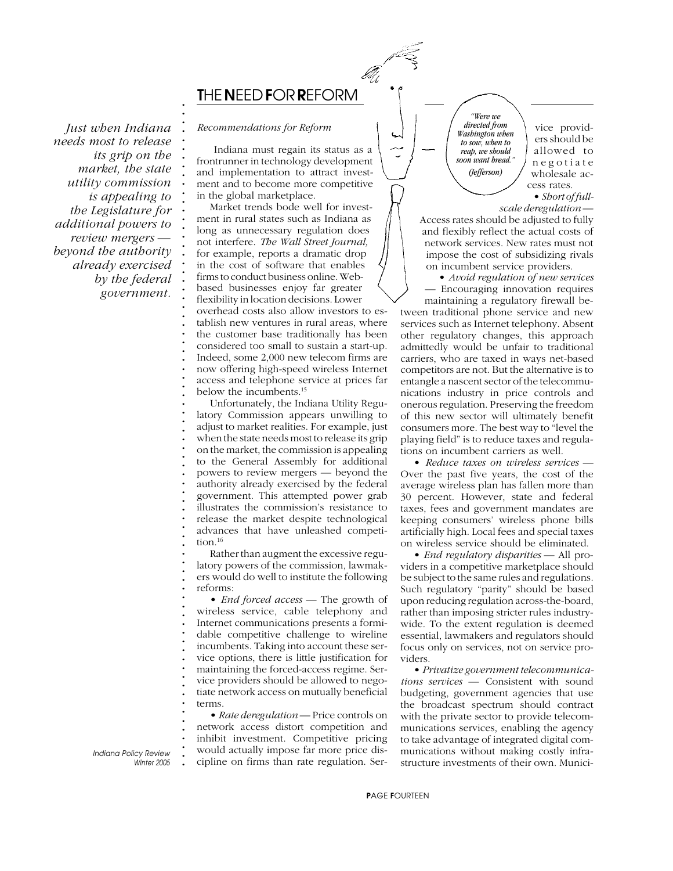

*Just when Indiana needs most to release its grip on the market, the state utility commission is appealing to the Legislature for additional powers to review mergers beyond the authority already exercised by the federal government.*

#### *Recommendations for Reform*

**. . . . . . . . . . . . . . . . . . . . . . . . . . . . . . . . . . . . . . . . . . . . . . . . . . . . . . . . . . . . . . . . . . . . . . . . . . .**

 Indiana must regain its status as a frontrunner in technology development and implementation to attract investment and to become more competitive in the global marketplace.

Market trends bode well for investment in rural states such as Indiana as long as unnecessary regulation does not interfere. *The Wall Street Journal,* for example, reports a dramatic drop in the cost of software that enables firms to conduct business online. Webbased businesses enjoy far greater flexibility in location decisions. Lower overhead costs also allow investors to establish new ventures in rural areas, where the customer base traditionally has been considered too small to sustain a start-up. Indeed, some 2,000 new telecom firms are now offering high-speed wireless Internet access and telephone service at prices far below the incumbents.15

Unfortunately, the Indiana Utility Regulatory Commission appears unwilling to adjust to market realities. For example, just when the state needs most to release its grip on the market, the commission is appealing to the General Assembly for additional powers to review mergers — beyond the authority already exercised by the federal government. This attempted power grab illustrates the commission's resistance to release the market despite technological advances that have unleashed competition.16

Rather than augment the excessive regulatory powers of the commission, lawmakers would do well to institute the following reforms:

• *End forced access* — The growth of wireless service, cable telephony and Internet communications presents a formidable competitive challenge to wireline incumbents. Taking into account these service options, there is little justification for maintaining the forced-access regime. Service providers should be allowed to negotiate network access on mutually beneficial terms.

• *Rate deregulation* — Price controls on network access distort competition and inhibit investment. Competitive pricing would actually impose far more price discipline on firms than rate regulation. Ser-

*"Were we directed from Washington when to sow, when to reap, we should soon want bread." (Jefferson)*

vice providers should be allowed to negotiate wholesale access rates.

• *Short of full-*

*scale deregulation* — Access rates should be adjusted to fully and flexibly reflect the actual costs of network services. New rates must not impose the cost of subsidizing rivals on incumbent service providers.

• *Avoid regulation of new services* — Encouraging innovation requires maintaining a regulatory firewall between traditional phone service and new services such as Internet telephony. Absent other regulatory changes, this approach admittedly would be unfair to traditional carriers, who are taxed in ways net-based competitors are not. But the alternative is to entangle a nascent sector of the telecommunications industry in price controls and onerous regulation. Preserving the freedom of this new sector will ultimately benefit consumers more. The best way to "level the playing field" is to reduce taxes and regulations on incumbent carriers as well.

• *Reduce taxes on wireless services* — Over the past five years, the cost of the average wireless plan has fallen more than 30 percent. However, state and federal taxes, fees and government mandates are keeping consumers' wireless phone bills artificially high. Local fees and special taxes on wireless service should be eliminated.

• *End regulatory disparities* — All providers in a competitive marketplace should be subject to the same rules and regulations. Such regulatory "parity" should be based upon reducing regulation across-the-board, rather than imposing stricter rules industrywide. To the extent regulation is deemed essential, lawmakers and regulators should focus only on services, not on service providers.

• *Privatize government telecommunications services* — Consistent with sound budgeting, government agencies that use the broadcast spectrum should contract with the private sector to provide telecommunications services, enabling the agency to take advantage of integrated digital communications without making costly infrastructure investments of their own. Munici-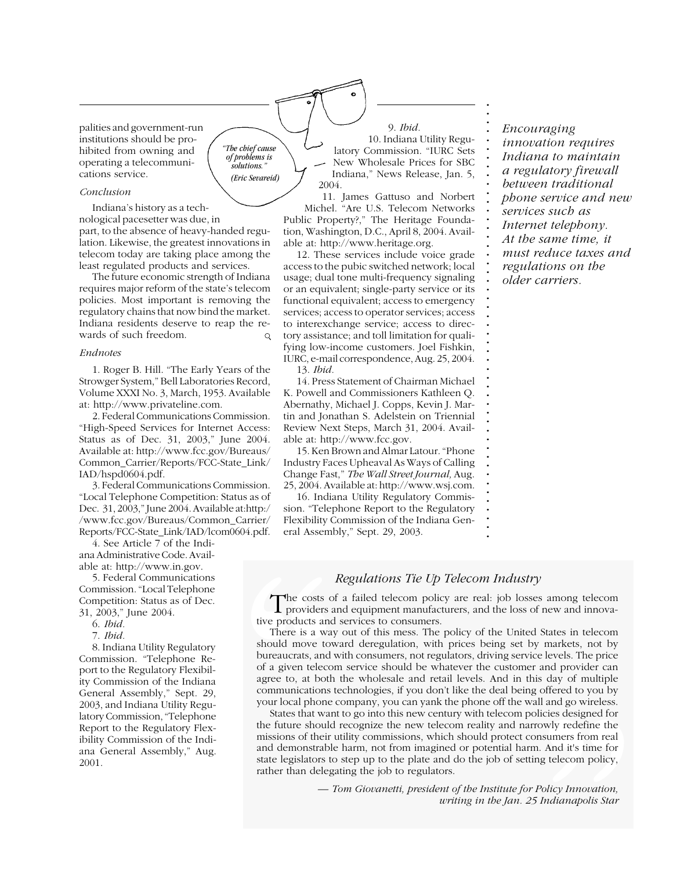palities and government-run institutions should be prohibited from owning and operating a telecommunications service.

#### *Conclusion*

Indiana's history as a technological pacesetter was due, in

part, to the absence of heavy-handed regulation. Likewise, the greatest innovations in telecom today are taking place among the least regulated products and services.

*"The chief cause of problems is solutions." (Eric Sevareid)*

The future economic strength of Indiana requires major reform of the state's telecom policies. Most important is removing the regulatory chains that now bind the market. Indiana residents deserve to reap the rewards of such freedom.  $\circ$ 

#### *Endnotes*

1. Roger B. Hill. "The Early Years of the Strowger System," Bell Laboratories Record, Volume XXXI No. 3, March, 1953. Available at: http://www.privateline.com.

2. Federal Communications Commission. "High-Speed Services for Internet Access: Status as of Dec. 31, 2003," June 2004. Available at: http://www.fcc.gov/Bureaus/ Common\_Carrier/Reports/FCC-State\_Link/ IAD/hspd0604.pdf.

3. Federal Communications Commission. "Local Telephone Competition: Status as of Dec. 31, 2003," June 2004. Available at:http:/ /www.fcc.gov/Bureaus/Common\_Carrier/ Reports/FCC-State\_Link/IAD/lcom0604.pdf.

4. See Article 7 of the Indiana Administrative Code. Available at: http://www.in.gov.

5. Federal Communications Commission. "Local Telephone Competition: Status as of Dec. 31, 2003," June 2004.

- 6. *Ibid.*
- 7. *Ibid.*

8. Indiana Utility Regulatory Commission. "Telephone Report to the Regulatory Flexibility Commission of the Indiana General Assembly," Sept. 29, 2003, and Indiana Utility Regulatory Commission, "Telephone Report to the Regulatory Flexibility Commission of the Indiana General Assembly," Aug. 2001.

9. *Ibid.* 10. Indiana Utility Regulatory Commission. "IURC Sets New Wholesale Prices for SBC Indiana," News Release, Jan. 5, 2004.

**. . . . . . . . . . . . . . . . . . . . . . . . . . . . . . . . . . . . . . . . . . . . . . . . . .**

11. James Gattuso and Norbert Michel. "Are U.S. Telecom Networks Public Property?," The Heritage Foundation, Washington, D.C., April 8, 2004. Available at: http://www.heritage.org.

12. These services include voice grade access to the pubic switched network; local usage; dual tone multi-frequency signaling or an equivalent; single-party service or its functional equivalent; access to emergency services; access to operator services; access to interexchange service; access to directory assistance; and toll limitation for qualifying low-income customers. Joel Fishkin, IURC, e-mail correspondence, Aug. 25, 2004. 13. *Ibid.*

14. Press Statement of Chairman Michael K. Powell and Commissioners Kathleen Q.

Abernathy, Michael J. Copps, Kevin J. Martin and Jonathan S. Adelstein on Triennial Review Next Steps, March 31, 2004. Available at: http://www.fcc.gov.

15. Ken Brown and Almar Latour. "Phone Industry Faces Upheaval As Ways of Calling Change Fast," *The Wall Street Journal,* Aug. 25, 2004. Available at: http://www.wsj.com.

16. Indiana Utility Regulatory Commission. "Telephone Report to the Regulatory Flexibility Commission of the Indiana General Assembly," Sept. 29, 2003.

*Encouraging innovation requires Indiana to maintain a regulatory firewall between traditional phone service and new services such as Internet telephony. At the same time, it must reduce taxes and regulations on the older carriers.*

#### **. .** *Regulations Tie Up Telecom Industry*

The costs of a failed telecom policy are real: job losses among telecom **.** The costs of a failed telecom policy are real: job losses among telecom providers and equipment manufacturers, and the loss of new and innovative products and services to consumers.

**.** There is a way out of this mess. The policy of the United States in telecom First is a way out of this mess. The policy of the office states in telecom-<br>should move toward deregulation, with prices being set by markets, not by **.** bureaucrats, and with consumers, not regulators, driving service levels. The price **.** of a given telecom service should be whatever the customer and provider can **.** agree to, at both the wholesale and retail levels. And in this day of multiple **.** communications technologies, if you don't like the deal being offered to you by **.** your local phone company, you can yank the phone off the wall and go wireless. **The costs of providers a**<br>tive products and<br>There is a way<br>should move tow<br>bureaucrats, and v<br>of a given telecor<br>agree to, at both<br>communications t<br>your local phone of states that wan<br>the future should<br>missions of their u

**.** States that want to go into this new century with telecom policies designed for  $\epsilon$  future should recognize the new telecom reality and recognize the the **.** the future should recognize the new telecom reality and narrowly redefine the **.** missions of their utility commissions, which should protect consumers from real **.** and demonstrable harm, not from imagined or potential harm. And it's time for and demonstrable harm, not from magned or potential harm. And it's time for state legislators to step up to the plate and do the job of setting telecom policy, Il and go wireless.<br>licies designed for<br>owly redefine the<br>nsumers from real<br>. And it's time for<br>g telecom policy,<br>Policy Innovation,<br>Indianapolis Star rather than delegating the job to regulators.

*— Tom Giovanetti, president of the Institute for Policy Innovation, writing in the Jan. 25 Indianapolis Star*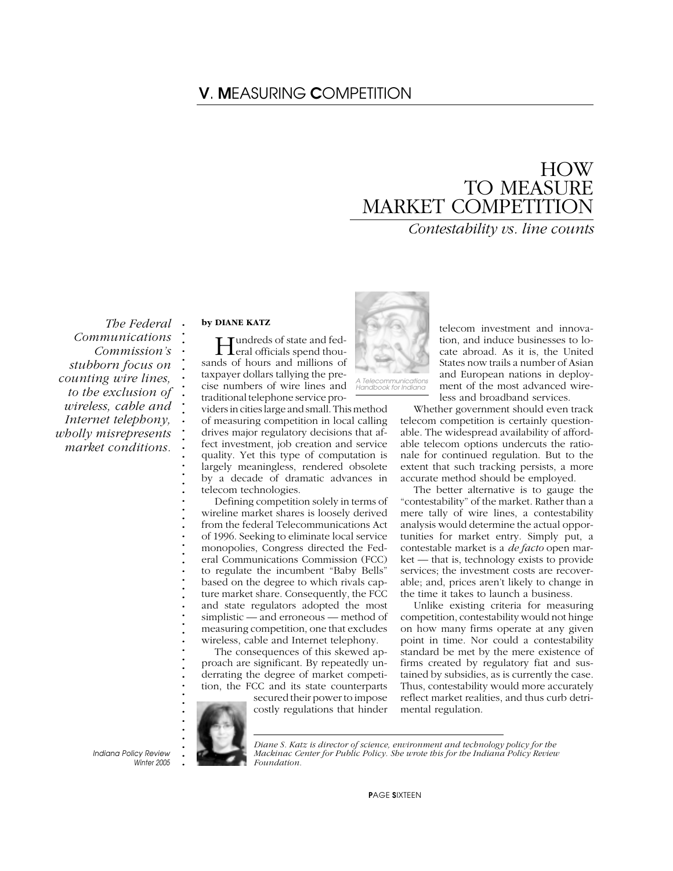# V*.* M*EASURING* C*OMPETITION*

# HOW TO MEASURE MARKET COMPETITION

*Contestability vs. line counts*

**. .** *The Federal Communications Commission's stubborn focus on counting wire lines, to the exclusion of wireless, cable and Internet telephony, wholly misrepresents market conditions.*

#### **by DIANE KATZ**

**. . . . . . . . . . . . . . . . . . . . . . . . . . . . . . . . . . . . . . . . . . . .**

Hundreds of state and fed-eral officials spend thousands of hours and millions of taxpayer dollars tallying the precise numbers of wire lines and traditional telephone service pro-

viders in cities large and small. This method of measuring competition in local calling drives major regulatory decisions that affect investment, job creation and service quality. Yet this type of computation is largely meaningless, rendered obsolete by a decade of dramatic advances in telecom technologies.

Defining competition solely in terms of wireline market shares is loosely derived from the federal Telecommunications Act of 1996. Seeking to eliminate local service monopolies, Congress directed the Federal Communications Commission (FCC) to regulate the incumbent "Baby Bells" based on the degree to which rivals capture market share. Consequently, the FCC and state regulators adopted the most simplistic — and erroneous — method of measuring competition, one that excludes wireless, cable and Internet telephony.

The consequences of this skewed approach are significant. By repeatedly underrating the degree of market competition, the FCC and its state counterparts

> secured their power to impose costly regulations that hinder



telecom investment and innovation, and induce businesses to locate abroad. As it is, the United States now trails a number of Asian and European nations in deployment of the most advanced wireless and broadband services.

Whether government should even track telecom competition is certainly questionable. The widespread availability of affordable telecom options undercuts the rationale for continued regulation. But to the extent that such tracking persists, a more accurate method should be employed.

The better alternative is to gauge the "contestability" of the market. Rather than a mere tally of wire lines, a contestability analysis would determine the actual opportunities for market entry. Simply put, a contestable market is a *de facto* open market — that is, technology exists to provide services; the investment costs are recoverable; and, prices aren't likely to change in the time it takes to launch a business.

Unlike existing criteria for measuring competition, contestability would not hinge on how many firms operate at any given point in time. Nor could a contestability standard be met by the mere existence of firms created by regulatory fiat and sustained by subsidies, as is currently the case. Thus, contestability would more accurately reflect market realities, and thus curb detrimental regulation.

**. . . . .** *Indiana Policy Review Winter 2005*

*Diane S. Katz is director of science, environment and technology policy for the Mackinac Center for Public Policy. She wrote this for the Indiana Policy Review Foundation.*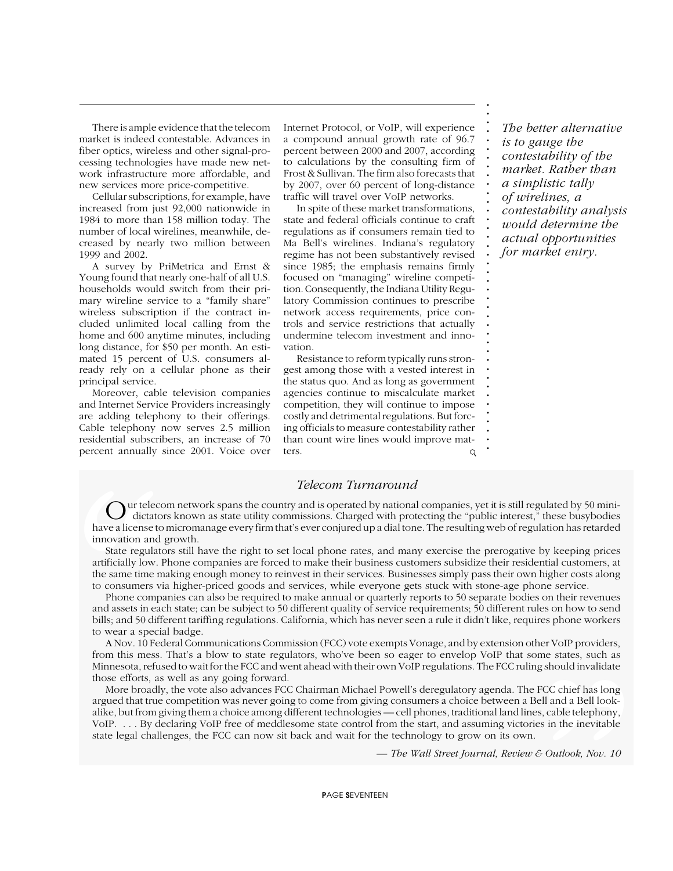There is ample evidence that the telecom market is indeed contestable. Advances in fiber optics, wireless and other signal-processing technologies have made new network infrastructure more affordable, and new services more price-competitive.

Cellular subscriptions, for example, have increased from just 92,000 nationwide in 1984 to more than 158 million today. The number of local wirelines, meanwhile, decreased by nearly two million between 1999 and 2002.

A survey by PriMetrica and Ernst & Young found that nearly one-half of all U.S. households would switch from their primary wireline service to a "family share" wireless subscription if the contract included unlimited local calling from the home and 600 anytime minutes, including long distance, for \$50 per month. An estimated 15 percent of U.S. consumers already rely on a cellular phone as their principal service.

Moreover, cable television companies and Internet Service Providers increasingly are adding telephony to their offerings. Cable telephony now serves 2.5 million residential subscribers, an increase of 70 percent annually since 2001. Voice over Internet Protocol, or VoIP, will experience a compound annual growth rate of 96.7 percent between 2000 and 2007, according to calculations by the consulting firm of Frost & Sullivan. The firm also forecasts that by 2007, over 60 percent of long-distance traffic will travel over VoIP networks.

In spite of these market transformations, state and federal officials continue to craft regulations as if consumers remain tied to Ma Bell's wirelines. Indiana's regulatory regime has not been substantively revised since 1985; the emphasis remains firmly focused on "managing" wireline competition. Consequently, the Indiana Utility Regulatory Commission continues to prescribe network access requirements, price controls and service restrictions that actually undermine telecom investment and innovation.

Resistance to reform typically runs strongest among those with a vested interest in the status quo. And as long as government agencies continue to miscalculate market competition, they will continue to impose costly and detrimental regulations. But forcing officials to measure contestability rather than count wire lines would improve matters.  $\circ$ 

*The better alternative is to gauge the contestability of the market. Rather than a simplistic tally of wirelines, a contestability analysis would determine the actual opportunities for market entry.*

**. . . . . . . . . . . . . . . . . . . . . . . . . . . . . . . . . . . . . . . .**

#### *Telecom Turnaround*

**.** Our telecom network spans the country and is operated by national companies, yet it is still regulated by 50 mini-<br>dictators known as state utility commissions. Charged with protecting the "public interest," these busybodi **.** dictators known as state utility commissions. Charged with protecting the "public interest," these busybodies **. .** have a license to micromanage every firm that's ever conjured up a dial tone. The resulting web of regulation has retarded **C** dictators<br>have a license to innovation and g<br>state regulato<br>artificially low. P<br>the same time may<br>to consumers via<br>and assets in eacl<br>bills; and 50 diffe<br>to wear a specia<br>A Nov. 10 Fed<br>from this mess.<br>Minnesota, refuse innovation and growth.

**.** State regulators still have the right to set local phone rates, and many exercise the prerogative by keeping prices artificially low. Phone companies are forced to make their business customers subsidize their residential customers, at **. .** the same time making enough money to reinvest in their services. Businesses simply pass their own higher costs along **.** to consumers via higher-priced goods and services, while everyone gets stuck with stone-age phone service.

**.** Phone companies can also be required to make annual or quarterly reports to 50 separate bodies on their revenues **.** and assets in each state; can be subject to 50 different quality of service requirements; 50 different rules on how to send **.** bills; and 50 different tariffing regulations. California, which has never seen a rule it didn't like, requires phone workers to wear a special badge.

**. .** A Nov. 10 Federal Communications Commission (FCC) vote exempts Vonage, and by extension other VoIP providers, **.** from this mess. That's a blow to state regulators, who've been so eager to envelop VoIP that some states, such as Minnesota, refused to wait for the FCC and went ahead with their own VoIP regulations. The FCC ruling should invalidate<br>those\_efforts\_as\_well\_as\_any\_going\_forward **.** those efforts, as well as any going forward.

**.** More broadly, the vote also advances FCC Chairman Michael Powell's deregulatory agenda. The FCC chief has long **.** argued that true competition was never going to come from giving consumers a choice between a Bell and a Bell lookalike, but from giving them a choice among different technologies — cell phones, traditional land lines, cable telephony, **. .** VoIP. . . . By declaring VoIP free of meddlesome state control from the start, and assuming victories in the inevitable **.** state legal challenges, the FCC can now sit back and wait for the technology to grow on its own. me states, such as<br>g should invalidate<br>FCC chief has long<br>ell and a Bell look-<br>s, cable telephony,<br>es in the inevitable<br> $\frac{C}{2}$  *Outlook, Nov. 10* 

**. . .** *Indiana Policy Review — The Wall Street Journal, Review & Outlook, Nov. 10*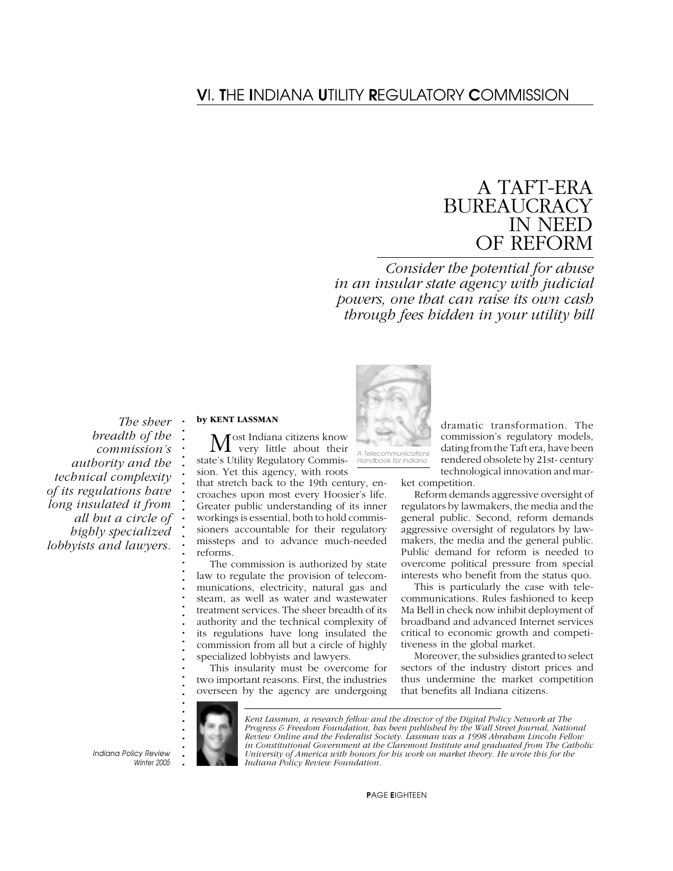# V*I.* T*HE* I*NDIANA* U*TILITY* R*EGULATORY* C*OMMISSION*

# A TAFT-ERA BUREAUCRACY IN NEED OF REFORM

*Consider the potential for abuse in an insular state agency with judicial powers, one that can raise its own cash through fees hidden in your utility bill*

 *The sheer breadth of the commission's authority and the technical complexity of its regulations have long insulated it from all but a circle of highly specialized lobbyists and lawyers.*

#### **by KENT LASSMAN**

**. . . . . . . . . . . . . . . . . . . . . . . . . . . . . . . . . . . . . . .**

Most Indiana citizens know<br>
very little about their state's Utility Regulatory Commission. Yet this agency, with roots that stretch back to the 19th century, encroaches upon most every Hoosier's life. Greater public understanding of its inner workings is essential, both to hold commissioners accountable for their regulatory missteps and to advance much-needed reforms.

The commission is authorized by state law to regulate the provision of telecommunications, electricity, natural gas and steam, as well as water and wastewater treatment services. The sheer breadth of its authority and the technical complexity of its regulations have long insulated the commission from all but a circle of highly specialized lobbyists and lawyers.

This insularity must be overcome for two important reasons. First, the industries overseen by the agency are undergoing



*A Telecommunications Handbook for Indiana*

dramatic transformation. The commission's regulatory models, dating from the Taft era, have been rendered obsolete by 21st- century technological innovation and mar-

ket competition.

Reform demands aggressive oversight of regulators by lawmakers, the media and the general public. Second, reform demands aggressive oversight of regulators by lawmakers, the media and the general public. Public demand for reform is needed to overcome political pressure from special interests who benefit from the status quo.

This is particularly the case with telecommunications. Rules fashioned to keep Ma Bell in check now inhibit deployment of broadband and advanced Internet services critical to economic growth and competitiveness in the global market.

Moreover, the subsidies granted to select sectors of the industry distort prices and thus undermine the market competition that benefits all Indiana citizens.



*Kent Lassman, a research fellow and the director of the Digital Policy Network at The Progress & Freedom Foundation, has been published by the Wall Street Journal, National Review Online and the Federalist Society. Lassman was a 1998 Abraham Lincoln Fellow in Constitutional Government at the Claremont Institute and graduated from The Catholic University of America with honors for his work on market theory. He wrote this for the Indiana Policy Review Foundation.*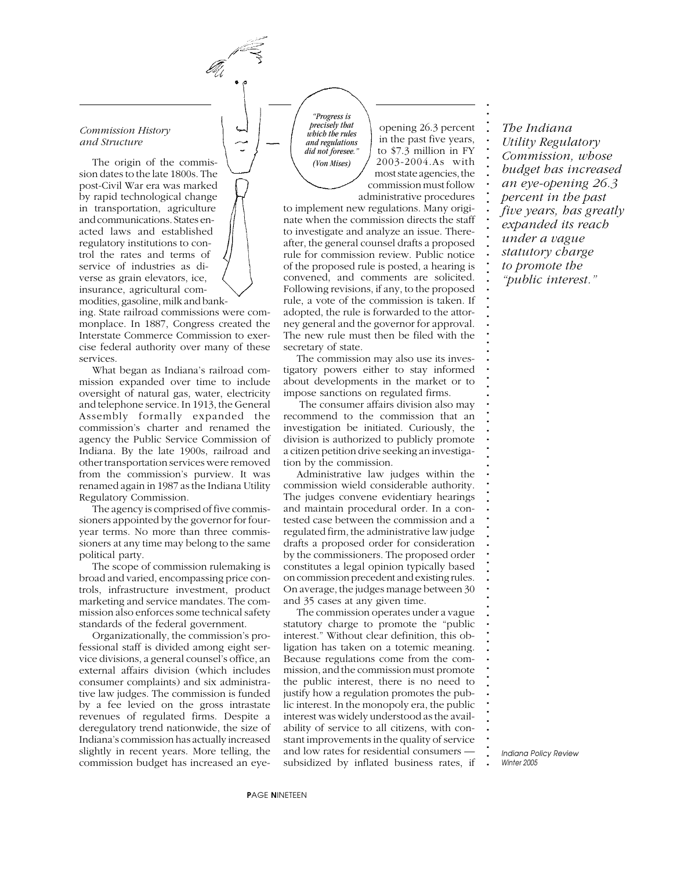#### *Commission History and Structure*

The origin of the commission dates to the late 1800s. The post-Civil War era was marked by rapid technological change in transportation, agriculture and communications. States enacted laws and established regulatory institutions to control the rates and terms of service of industries as diverse as grain elevators, ice, insurance, agricultural commodities, gasoline, milk and bank-

ing. State railroad commissions were commonplace. In 1887, Congress created the Interstate Commerce Commission to exercise federal authority over many of these services.

What began as Indiana's railroad commission expanded over time to include oversight of natural gas, water, electricity and telephone service. In 1913, the General Assembly formally expanded the commission's charter and renamed the agency the Public Service Commission of Indiana. By the late 1900s, railroad and other transportation services were removed from the commission's purview. It was renamed again in 1987 as the Indiana Utility Regulatory Commission.

The agency is comprised of five commissioners appointed by the governor for fouryear terms. No more than three commissioners at any time may belong to the same political party.

The scope of commission rulemaking is broad and varied, encompassing price controls, infrastructure investment, product marketing and service mandates. The commission also enforces some technical safety standards of the federal government.

Organizationally, the commission's professional staff is divided among eight service divisions, a general counsel's office, an external affairs division (which includes consumer complaints) and six administrative law judges. The commission is funded by a fee levied on the gross intrastate revenues of regulated firms. Despite a deregulatory trend nationwide, the size of Indiana's commission has actually increased slightly in recent years. More telling, the commission budget has increased an eye-

*"Progress is precisely that which the rules and regulations did not foresee." (Von Mises)*

opening 26.3 percent in the past five years, to \$7.3 million in FY 2003-2004.As with most state agencies, the commission must follow administrative procedures **. . . . . . . . . . . . . . . . . . . . . . . . . . . . . . . . . . . . . . . . . . . . . . . . . . . . . . . . . . . . . . . . . . . . . . . . . . .**

to implement new regulations. Many originate when the commission directs the staff to investigate and analyze an issue. Thereafter, the general counsel drafts a proposed rule for commission review. Public notice of the proposed rule is posted, a hearing is convened, and comments are solicited. Following revisions, if any, to the proposed rule, a vote of the commission is taken. If adopted, the rule is forwarded to the attorney general and the governor for approval. The new rule must then be filed with the secretary of state.

The commission may also use its investigatory powers either to stay informed about developments in the market or to impose sanctions on regulated firms.

 The consumer affairs division also may recommend to the commission that an investigation be initiated. Curiously, the division is authorized to publicly promote a citizen petition drive seeking an investigation by the commission.

Administrative law judges within the commission wield considerable authority. The judges convene evidentiary hearings and maintain procedural order. In a contested case between the commission and a regulated firm, the administrative law judge drafts a proposed order for consideration by the commissioners. The proposed order constitutes a legal opinion typically based on commission precedent and existing rules. On average, the judges manage between 30 and 35 cases at any given time.

The commission operates under a vague statutory charge to promote the "public interest." Without clear definition, this obligation has taken on a totemic meaning. Because regulations come from the commission, and the commission must promote the public interest, there is no need to justify how a regulation promotes the public interest. In the monopoly era, the public interest was widely understood as the availability of service to all citizens, with constant improvements in the quality of service and low rates for residential consumers subsidized by inflated business rates, if

*The Indiana Utility Regulatory Commission, whose budget has increased an eye-opening 26.3 percent in the past five years, has greatly expanded its reach under a vague statutory charge to promote the "public interest."*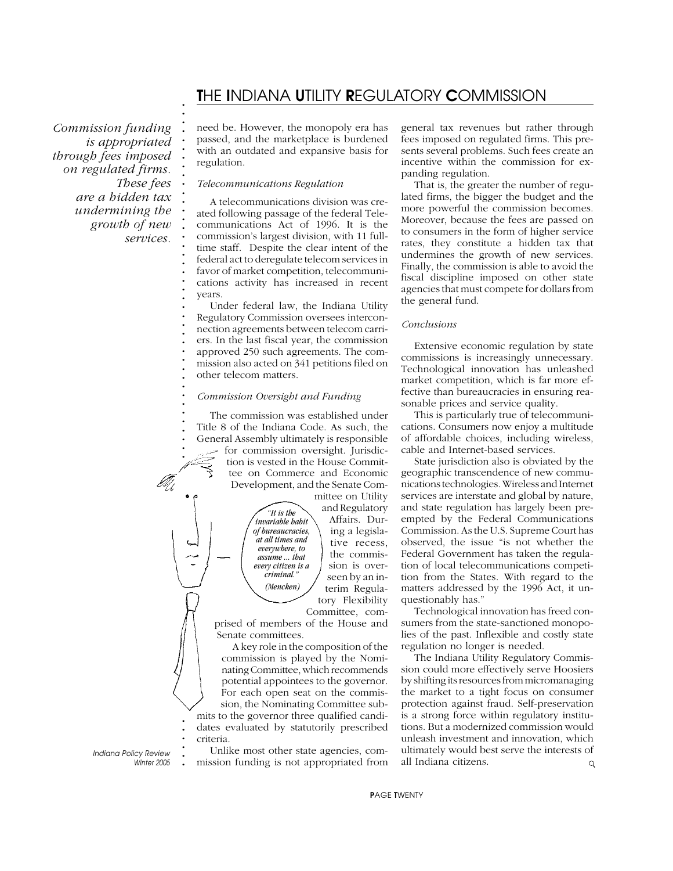## T*HE* I*NDIANA* U*TILITY* R*EGULATORY* C*OMMISSION*

*Commission funding is appropriated through fees imposed on regulated firms. These fees are a hidden tax undermining the growth of new services.*

**. . . . . . . . . . . . . . . . . . . . . . . . . . . . . . . . . . . . . . . . . . .**

need be. However, the monopoly era has passed, and the marketplace is burdened with an outdated and expansive basis for regulation.

#### *Telecommunications Regulation*

A telecommunications division was created following passage of the federal Telecommunications Act of 1996. It is the commission's largest division, with 11 fulltime staff. Despite the clear intent of the federal act to deregulate telecom services in favor of market competition, telecommunications activity has increased in recent years.

Under federal law, the Indiana Utility Regulatory Commission oversees interconnection agreements between telecom carriers. In the last fiscal year, the commission approved 250 such agreements. The commission also acted on 341 petitions filed on other telecom matters.

#### *Commission Oversight and Funding*

The commission was established under Title 8 of the Indiana Code. As such, the General Assembly ultimately is responsible for commission oversight. Jurisdiction is vested in the House Committee on Commerce and Economic Development, and the Senate Committee on Utility

> *"It is the invariable habit of bureaucracies, at all times and everywhere, to assume ... that every citizen is a criminal." (Mencken)*

and Regulatory Affairs. During a legislative recess, the commission is overseen by an interim Regulatory Flexibility Committee, com-

prised of members of the House and Senate committees.

A key role in the composition of the commission is played by the Nominating Committee, which recommends potential appointees to the governor. For each open seat on the commission, the Nominating Committee submits to the governor three qualified candidates evaluated by statutorily prescribed criteria.

**.** *Indiana Policy Review Winter 2005* **.**

**. . . . . . .**

**. . . . . . .**

Unlike most other state agencies, commission funding is not appropriated from general tax revenues but rather through fees imposed on regulated firms. This presents several problems. Such fees create an incentive within the commission for expanding regulation.

That is, the greater the number of regulated firms, the bigger the budget and the more powerful the commission becomes. Moreover, because the fees are passed on to consumers in the form of higher service rates, they constitute a hidden tax that undermines the growth of new services. Finally, the commission is able to avoid the fiscal discipline imposed on other state agencies that must compete for dollars from the general fund.

#### *Conclusions*

Extensive economic regulation by state commissions is increasingly unnecessary. Technological innovation has unleashed market competition, which is far more effective than bureaucracies in ensuring reasonable prices and service quality.

This is particularly true of telecommunications. Consumers now enjoy a multitude of affordable choices, including wireless, cable and Internet-based services.

State jurisdiction also is obviated by the geographic transcendence of new communications technologies. Wireless and Internet services are interstate and global by nature, and state regulation has largely been preempted by the Federal Communications Commission. As the U.S. Supreme Court has observed, the issue "is not whether the Federal Government has taken the regulation of local telecommunications competition from the States. With regard to the matters addressed by the 1996 Act, it unquestionably has."

Technological innovation has freed consumers from the state-sanctioned monopolies of the past. Inflexible and costly state regulation no longer is needed.

The Indiana Utility Regulatory Commission could more effectively serve Hoosiers by shifting its resources from micromanaging the market to a tight focus on consumer protection against fraud. Self-preservation is a strong force within regulatory institutions. But a modernized commission would unleash investment and innovation, which ultimately would best serve the interests of all Indiana citizens.  $\mathsf{Q}$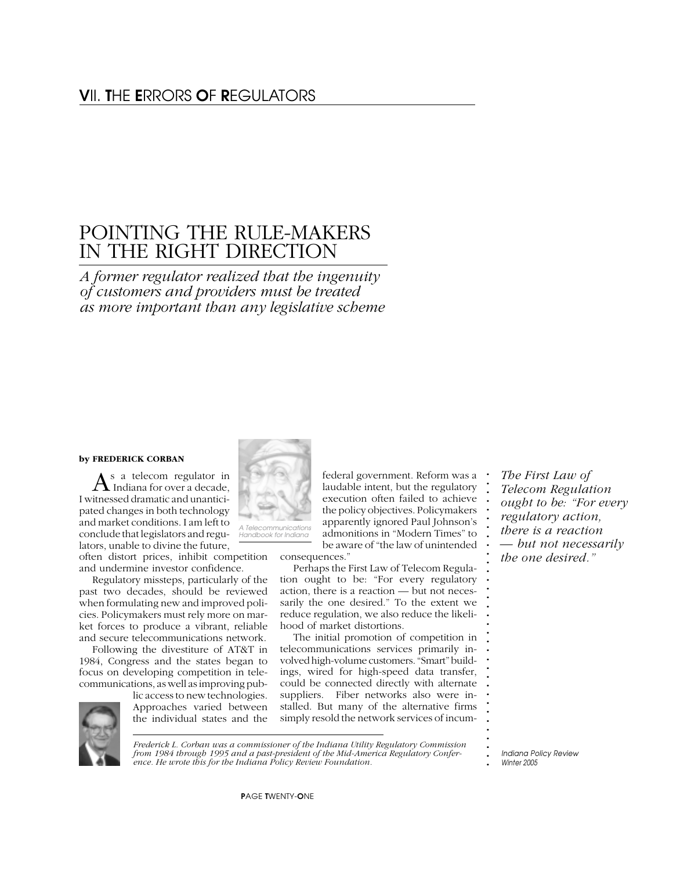# POINTING THE RULE-MAKERS IN THE RIGHT DIRECTION

*A former regulator realized that the ingenuity of customers and providers must be treated as more important than any legislative scheme*

#### **by FREDERICK CORBAN**

 $A$ <sup>s a</sup> telecom regulator in I witnessed dramatic and unanticipated changes in both technology and market conditions. I am left to conclude that legislators and regulators, unable to divine the future,

often distort prices, inhibit competition and undermine investor confidence.

Regulatory missteps, particularly of the past two decades, should be reviewed when formulating new and improved policies. Policymakers must rely more on market forces to produce a vibrant, reliable and secure telecommunications network.

Following the divestiture of AT&T in 1984, Congress and the states began to focus on developing competition in telecommunications, as well as improving pub-



lic access to new technologies. Approaches varied between the individual states and the



*A Telecommunications Handbook for Indiana*

consequences."

Perhaps the First Law of Telecom Regulation ought to be: "For every regulatory action, there is a reaction — but not necessarily the one desired." To the extent we reduce regulation, we also reduce the likelihood of market distortions.

federal government. Reform was a laudable intent, but the regulatory execution often failed to achieve the policy objectives. Policymakers apparently ignored Paul Johnson's admonitions in "Modern Times" to be aware of "the law of unintended

The initial promotion of competition in telecommunications services primarily involved high-volume customers. "Smart" buildings, wired for high-speed data transfer, could be connected directly with alternate suppliers. Fiber networks also were installed. But many of the alternative firms simply resold the network services of incum-

*The First Law of Telecom Regulation ought to be: "For every regulatory action, there is a reaction — but not necessarily the one desired."*

**. . . . . . . . . . . . . . . . . . . . . . . . . . . . . . .**

**. .** *Frederick L. Corban was a commissioner of the Indiana Utility Regulatory Commission from 1984 through 1995 and a past-president of the Mid-America Regulatory Conference. He wrote this for the Indiana Policy Review Foundation.*

**.** *Indiana Policy Review Winter 2005*

P*AGE* T*WENTY-*O*NE*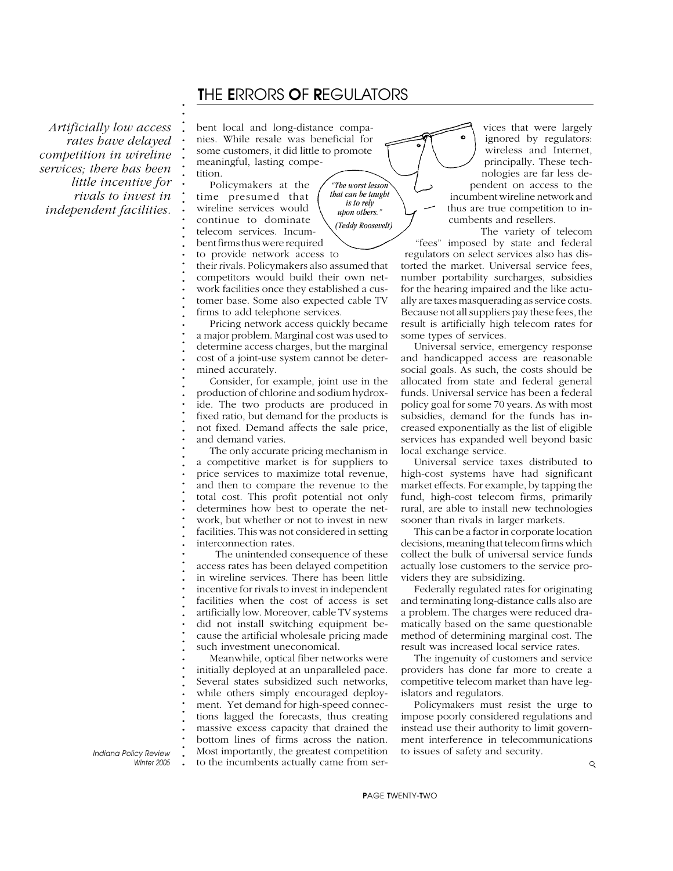# T*HE* E*RRORS* O*F* R*EGULATORS*

*"The worst lesson that can be taught is to rely upon others." (Teddy Roosevelt)*

*Artificially low access rates have delayed competition in wireline services; there has been little incentive for rivals to invest in independent facilities.*

**. . . . . . . . . . . . . . . . . . . . . . . . . . . . . . . . . . . . . . . . . . . . . . . . . . . . . . . . . . . . . . . . . . . . . . . . . . .**

bent local and long-distance companies. While resale was beneficial for some customers, it did little to promote meaningful, lasting competition.

Policymakers at the time presumed that wireline services would continue to dominate telecom services. Incumbent firms thus were required to provide network access to

their rivals. Policymakers also assumed that competitors would build their own network facilities once they established a customer base. Some also expected cable TV firms to add telephone services.

Pricing network access quickly became a major problem. Marginal cost was used to determine access charges, but the marginal cost of a joint-use system cannot be determined accurately.

Consider, for example, joint use in the production of chlorine and sodium hydroxide. The two products are produced in fixed ratio, but demand for the products is not fixed. Demand affects the sale price, and demand varies.

The only accurate pricing mechanism in a competitive market is for suppliers to price services to maximize total revenue, and then to compare the revenue to the total cost. This profit potential not only determines how best to operate the network, but whether or not to invest in new facilities. This was not considered in setting interconnection rates.

 The unintended consequence of these access rates has been delayed competition in wireline services. There has been little incentive for rivals to invest in independent facilities when the cost of access is set artificially low. Moreover, cable TV systems did not install switching equipment because the artificial wholesale pricing made such investment uneconomical.

Meanwhile, optical fiber networks were initially deployed at an unparalleled pace. Several states subsidized such networks, while others simply encouraged deployment. Yet demand for high-speed connections lagged the forecasts, thus creating massive excess capacity that drained the bottom lines of firms across the nation. Most importantly, the greatest competition to the incumbents actually came from ser-

vices that were largely ignored by regulators: wireless and Internet, principally. These technologies are far less dependent on access to the incumbent wireline network and thus are true competition to incumbents and resellers. The variety of telecom

"fees" imposed by state and federal regulators on select services also has distorted the market. Universal service fees, number portability surcharges, subsidies for the hearing impaired and the like actually are taxes masquerading as service costs. Because not all suppliers pay these fees, the result is artificially high telecom rates for some types of services.

Universal service, emergency response and handicapped access are reasonable social goals. As such, the costs should be allocated from state and federal general funds. Universal service has been a federal policy goal for some 70 years. As with most subsidies, demand for the funds has increased exponentially as the list of eligible services has expanded well beyond basic local exchange service.

Universal service taxes distributed to high-cost systems have had significant market effects. For example, by tapping the fund, high-cost telecom firms, primarily rural, are able to install new technologies sooner than rivals in larger markets.

This can be a factor in corporate location decisions, meaning that telecom firms which collect the bulk of universal service funds actually lose customers to the service providers they are subsidizing.

Federally regulated rates for originating and terminating long-distance calls also are a problem. The charges were reduced dramatically based on the same questionable method of determining marginal cost. The result was increased local service rates.

The ingenuity of customers and service providers has done far more to create a competitive telecom market than have legislators and regulators.

Policymakers must resist the urge to impose poorly considered regulations and instead use their authority to limit government interference in telecommunications to issues of safety and security.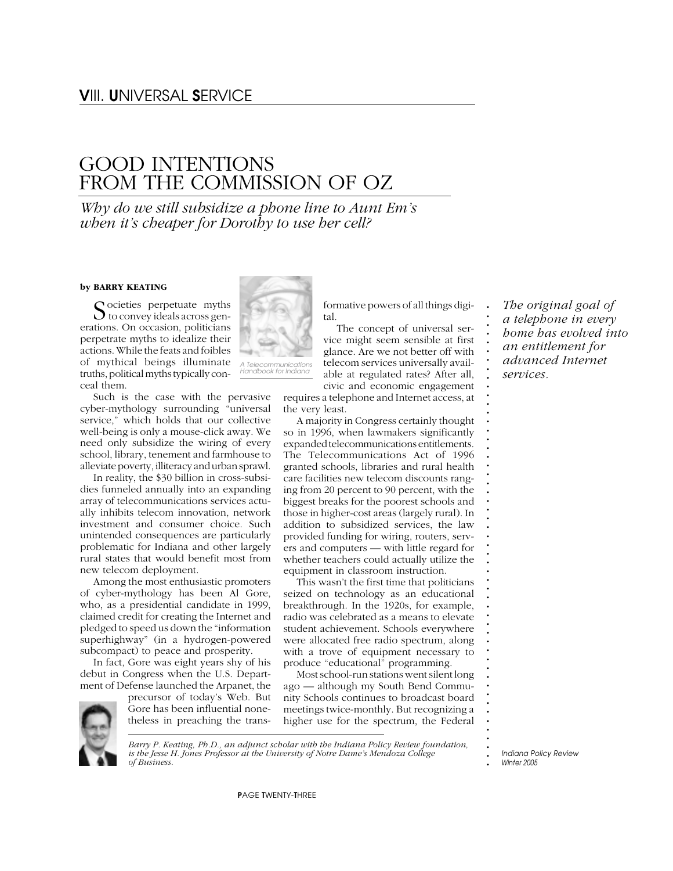# GOOD INTENTIONS FROM THE COMMISSION OF OZ

*Why do we still subsidize a phone line to Aunt Em's when it's cheaper for Dorothy to use her cell?*

#### **by BARRY KEATING**

Cocieties perpetuate myths  $\bigcup$  to convey ideals across generations. On occasion, politicians perpetrate myths to idealize their actions. While the feats and foibles of mythical beings illuminate truths, political myths typically conceal them.

Such is the case with the pervasive cyber-mythology surrounding "universal service," which holds that our collective well-being is only a mouse-click away. We need only subsidize the wiring of every school, library, tenement and farmhouse to alleviate poverty, illiteracy and urban sprawl.

In reality, the \$30 billion in cross-subsidies funneled annually into an expanding array of telecommunications services actually inhibits telecom innovation, network investment and consumer choice. Such unintended consequences are particularly problematic for Indiana and other largely rural states that would benefit most from new telecom deployment.

Among the most enthusiastic promoters of cyber-mythology has been Al Gore, who, as a presidential candidate in 1999, claimed credit for creating the Internet and pledged to speed us down the "information superhighway" (in a hydrogen-powered subcompact) to peace and prosperity.

In fact, Gore was eight years shy of his debut in Congress when the U.S. Department of Defense launched the Arpanet, the



precursor of today's Web. But Gore has been influential nonetheless in preaching the trans-



*Handbook for Indiana*

formative powers of all things digital.

The concept of universal service might seem sensible at first glance. Are we not better off with telecom services universally available at regulated rates? After all, civic and economic engagement

requires a telephone and Internet access, at the very least.

A majority in Congress certainly thought so in 1996, when lawmakers significantly expanded telecommunications entitlements. The Telecommunications Act of 1996 granted schools, libraries and rural health care facilities new telecom discounts ranging from 20 percent to 90 percent, with the biggest breaks for the poorest schools and those in higher-cost areas (largely rural). In addition to subsidized services, the law provided funding for wiring, routers, servers and computers — with little regard for whether teachers could actually utilize the equipment in classroom instruction.

This wasn't the first time that politicians seized on technology as an educational breakthrough. In the 1920s, for example, radio was celebrated as a means to elevate student achievement. Schools everywhere were allocated free radio spectrum, along with a trove of equipment necessary to produce "educational" programming.

Most school-run stations went silent long ago — although my South Bend Community Schools continues to broadcast board meetings twice-monthly. But recognizing a higher use for the spectrum, the Federal

*The original goal of a telephone in every home has evolved into an entitlement for advanced Internet services.*

**. . . . . . . . . . . . . . . . . . . . . . . . . . . . . . . . . . . . . . . . . . . . . . . . . . . .**

**.** *Indiana Policy Review Winter 2005*

*Barry P. Keating, Ph.D., an adjunct scholar with the Indiana Policy Review foundation, is the Jesse H. Jones Professor at the University of Notre Dame's Mendoza College of Business.*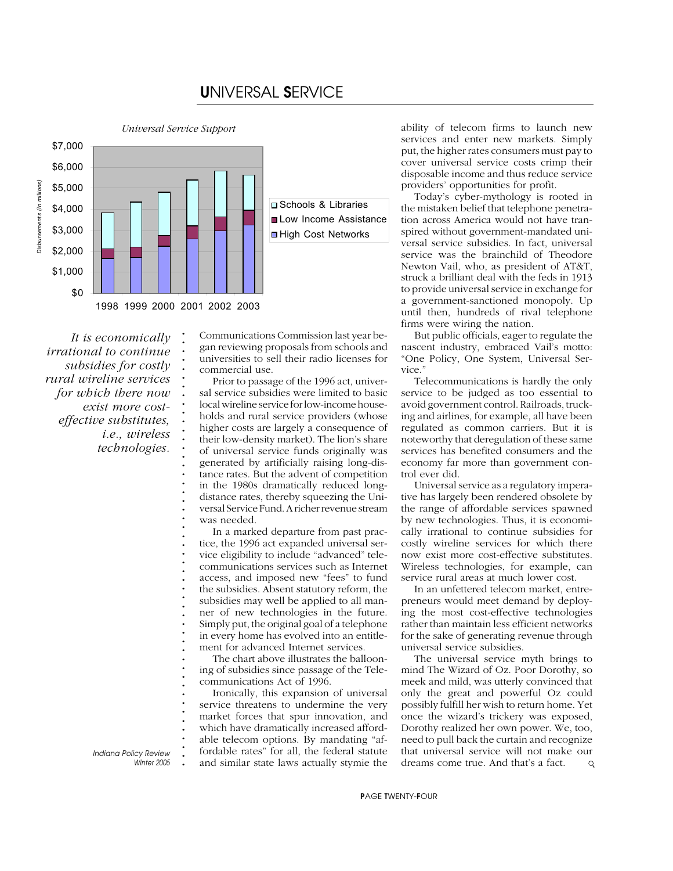# U*NIVERSAL* S*ERVICE*

**.** *Universal Service Support*

**. . . . . . . . . . . . . . . . . . . . . . . . . . . . . . . . . . . . . . . . . . . . . . . . .**



*It is economically irrational to continue subsidies for costly rural wireline services for which there now exist more costeffective substitutes, i.e., wireless technologies.*

> **.** *Indiana Policy Review Winter 2005*

Communications Commission last year began reviewing proposals from schools and universities to sell their radio licenses for commercial use.

Prior to passage of the 1996 act, universal service subsidies were limited to basic local wireline service for low-income households and rural service providers (whose higher costs are largely a consequence of their low-density market). The lion's share of universal service funds originally was generated by artificially raising long-distance rates. But the advent of competition in the 1980s dramatically reduced longdistance rates, thereby squeezing the Universal Service Fund. A richer revenue stream was needed.

In a marked departure from past practice, the 1996 act expanded universal service eligibility to include "advanced" telecommunications services such as Internet access, and imposed new "fees" to fund the subsidies. Absent statutory reform, the subsidies may well be applied to all manner of new technologies in the future. Simply put, the original goal of a telephone in every home has evolved into an entitlement for advanced Internet services.

The chart above illustrates the ballooning of subsidies since passage of the Telecommunications Act of 1996.

Ironically, this expansion of universal service threatens to undermine the very market forces that spur innovation, and which have dramatically increased affordable telecom options. By mandating "affordable rates" for all, the federal statute and similar state laws actually stymie the ability of telecom firms to launch new services and enter new markets. Simply put, the higher rates consumers must pay to cover universal service costs crimp their disposable income and thus reduce service providers' opportunities for profit.

Today's cyber-mythology is rooted in the mistaken belief that telephone penetration across America would not have transpired without government-mandated universal service subsidies. In fact, universal service was the brainchild of Theodore Newton Vail, who, as president of AT&T, struck a brilliant deal with the feds in 1913 to provide universal service in exchange for a government-sanctioned monopoly. Up until then, hundreds of rival telephone firms were wiring the nation.

But public officials, eager to regulate the nascent industry, embraced Vail's motto: "One Policy, One System, Universal Service."

Telecommunications is hardly the only service to be judged as too essential to avoid government control. Railroads, trucking and airlines, for example, all have been regulated as common carriers. But it is noteworthy that deregulation of these same services has benefited consumers and the economy far more than government control ever did.

Universal service as a regulatory imperative has largely been rendered obsolete by the range of affordable services spawned by new technologies. Thus, it is economically irrational to continue subsidies for costly wireline services for which there now exist more cost-effective substitutes. Wireless technologies, for example, can service rural areas at much lower cost.

In an unfettered telecom market, entrepreneurs would meet demand by deploying the most cost-effective technologies rather than maintain less efficient networks for the sake of generating revenue through universal service subsidies.

The universal service myth brings to mind The Wizard of Oz. Poor Dorothy, so meek and mild, was utterly convinced that only the great and powerful Oz could possibly fulfill her wish to return home. Yet once the wizard's trickery was exposed, Dorothy realized her own power. We, too, need to pull back the curtain and recognize that universal service will not make our dreams come true. And that's a fact.  $\mathsf{Q}$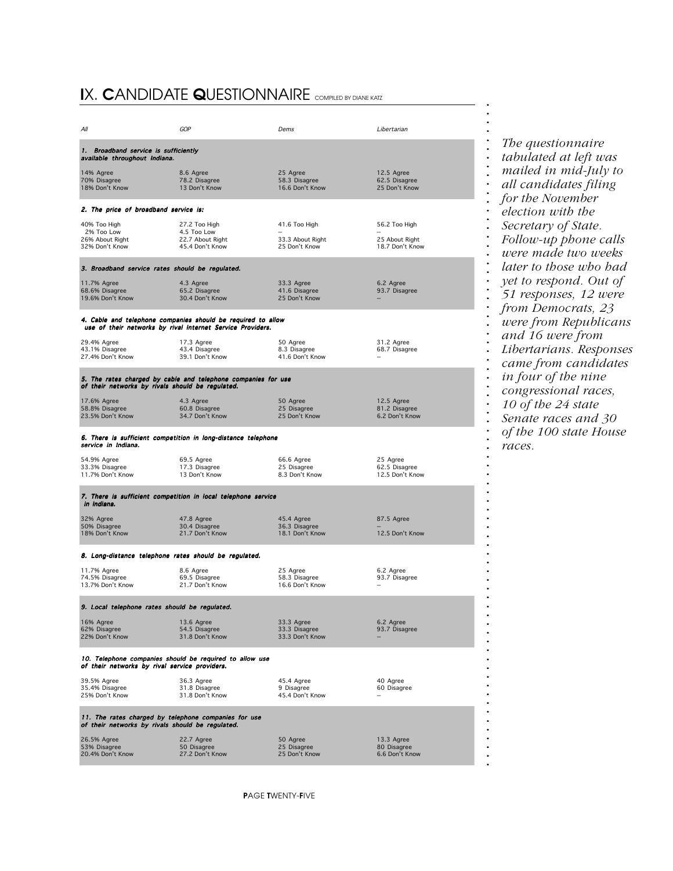# I*X.* C*ANDIDATE* Q*UESTIONNAIRE COMPILED BY DIANE KATZ*

| All                                                                                                      | GOP                                                                                                                        | Dems                                               | Libertarian                                        |  |  |  |  |
|----------------------------------------------------------------------------------------------------------|----------------------------------------------------------------------------------------------------------------------------|----------------------------------------------------|----------------------------------------------------|--|--|--|--|
| 1. Broadband service is sufficiently<br>available throughout Indiana.                                    |                                                                                                                            |                                                    |                                                    |  |  |  |  |
| 14% Agree<br>70% Disagree<br>18% Don't Know                                                              | 8.6 Agree<br>78.2 Disagree<br>13 Don't Know                                                                                | 25 Agree<br>58.3 Disagree<br>16.6 Don't Know       | 12.5 Agree<br>62.5 Disagree<br>25 Don't Know       |  |  |  |  |
| 2. The price of broadband service is:                                                                    |                                                                                                                            |                                                    |                                                    |  |  |  |  |
| 40% Too High<br>2% Too Low<br>26% About Right<br>32% Don't Know                                          | 27.2 Too High<br>4.5 Too Low<br>22.7 About Right<br>45.4 Don't Know                                                        | 41.6 Too High<br>33.3 About Right<br>25 Don't Know | 56.2 Too High<br>25 About Right<br>18.7 Don't Know |  |  |  |  |
| 3. Broadband service rates should be regulated.                                                          |                                                                                                                            |                                                    |                                                    |  |  |  |  |
| 11.7% Agree<br>68.6% Disagree<br>19.6% Don't Know                                                        | 4.3 Agree<br>65.2 Disagree<br>30.4 Don't Know                                                                              | 33.3 Agree<br>41.6 Disagree<br>25 Don't Know       | 6.2 Agree<br>93.7 Disagree                         |  |  |  |  |
|                                                                                                          | 4. Cable and telephone companies should be required to allow<br>use of their networks by rival Internet Service Providers. |                                                    |                                                    |  |  |  |  |
| 29.4% Agree<br>43.1% Disagree<br>27.4% Don't Know                                                        | 17.3 Agree<br>43.4 Disagree<br>39.1 Don't Know                                                                             | 50 Agree<br>8.3 Disagree<br>41.6 Don't Know        | 31.2 Agree<br>68.7 Disagree                        |  |  |  |  |
| of their networks by rivals should be regulated.                                                         | 5. The rates charged by cable and telephone companies for use                                                              |                                                    |                                                    |  |  |  |  |
| 17.6% Agree<br>58.8% Disagree<br>23.5% Don't Know                                                        | 4.3 Agree<br>60.8 Disagree<br>34.7 Don't Know                                                                              | 50 Agree<br>25 Disagree<br>25 Don't Know           | 12.5 Agree<br>81.2 Disagree<br>6.2 Don't Know      |  |  |  |  |
| service in Indiana.                                                                                      | 6. There is sufficient competition in long-distance telephone                                                              |                                                    |                                                    |  |  |  |  |
| 54.9% Agree<br>33.3% Disagree<br>11.7% Don't Know                                                        | 69.5 Agree<br>17.3 Disagree<br>13 Don't Know                                                                               | 66.6 Agree<br>25 Disagree<br>8.3 Don't Know        | 25 Agree<br>62.5 Disagree<br>12.5 Don't Know       |  |  |  |  |
| 7. There is sufficient competition in local telephone service<br>in Indiana.                             |                                                                                                                            |                                                    |                                                    |  |  |  |  |
| 32% Agree<br>50% Disagree<br>18% Don't Know                                                              | 47.8 Agree<br>30.4 Disagree<br>21.7 Don't Know                                                                             | 45.4 Agree<br>36.3 Disagree<br>18.1 Don't Know     | 87.5 Agree<br>12.5 Don't Know                      |  |  |  |  |
| 8. Long-distance telephone rates should be regulated.                                                    |                                                                                                                            |                                                    |                                                    |  |  |  |  |
| 11.7% Agree<br>74.5% Disagree<br>13.7% Don't Know                                                        | 8.6 Agree<br>69.5 Disagree<br>21.7 Don't Know                                                                              | 25 Agree<br>58.3 Disagree<br>16.6 Don't Know       | 6.2 Agree<br>93.7 Disagree                         |  |  |  |  |
| 9. Local telephone rates should be regulated.                                                            |                                                                                                                            |                                                    |                                                    |  |  |  |  |
| 16% Agree<br>62% Disagree<br>22% Don't Know                                                              | 13.6 Agree<br>54.5 Disagree<br>31.8 Don't Know                                                                             | 33.3 Agree<br>33.3 Disagree<br>33.3 Don't Know     | 6.2 Agree<br>93.7 Disagree                         |  |  |  |  |
| 10. Telephone companies should be required to allow use<br>of their networks by rival service providers. |                                                                                                                            |                                                    |                                                    |  |  |  |  |
| 39.5% Agree<br>35.4% Disagree<br>25% Don't Know                                                          | 36.3 Agree<br>31.8 Disagree<br>31.8 Don't Know                                                                             | 45.4 Agree<br>9 Disagree<br>45.4 Don't Know        | 40 Agree<br>60 Disagree                            |  |  |  |  |
| 11. The rates charged by telephone companies for use<br>of their networks by rivals should be regulated. |                                                                                                                            |                                                    |                                                    |  |  |  |  |
| 26.5% Agree<br>53% Disagree<br>20.4% Don't Know                                                          | 22.7 Agree<br>50 Disagree<br>27.2 Don't Know                                                                               | 50 Agree<br>25 Disagree<br>25 Don't Know           | 13.3 Agree<br>80 Disagree<br>6.6 Don't Know        |  |  |  |  |

*The questionnaire tabulated at left was mailed in mid-July to all candidates filing for the November election with the Secretary of State. Follow-up phone calls were made two weeks later to those who had yet to respond. Out of 51 responses, 12 were from Democrats, 23 were from Republicans and 16 were from Libertarians. Responses came from candidates in four of the nine congressional races, 10 of the 24 state Senate races and 30 of the 100 state House races.*

**.** *Indiana Policy Review*

**. . . . . . . . . . . . . . . . . . . . . . . . . . . . . . . . . . . . . . . . . . . . . . . . . . . . . . . . . . . . . . . . . . . . . . . . . . .**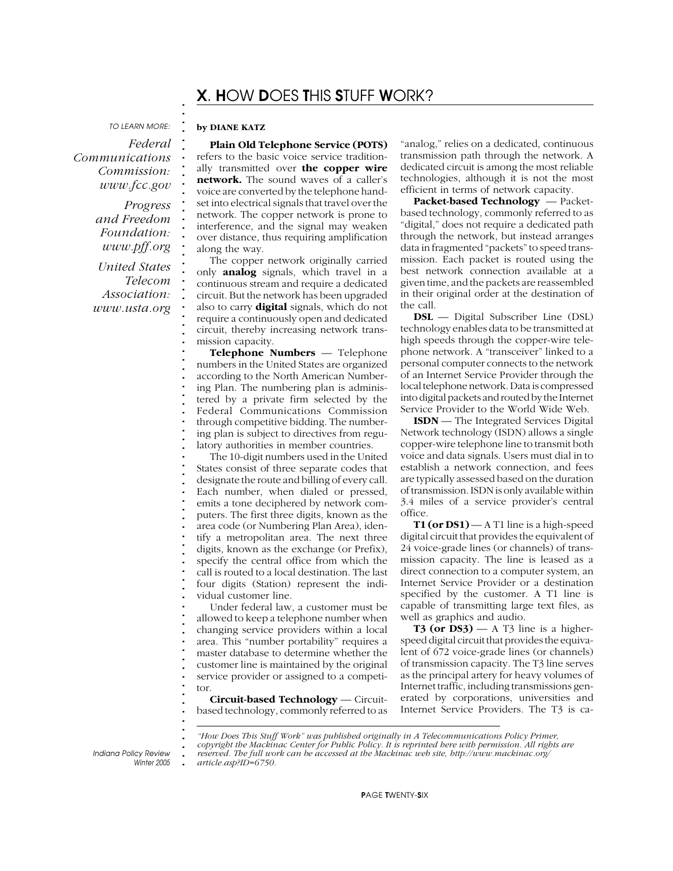# X*.* H*OW* D*OES* T*HIS* S*TUFF* W*ORK?*

*TO LEARN MORE:*

*Federal Communications Commission: www.fcc.gov*

> *Progress and Freedom Foundation: www.pff.org*

*United States Telecom Association: www.usta.org*

#### **by DIANE KATZ**

**. . . . . . . . . . . . . . . . . . . . . . . . . . . . . . . . . . . . . . . . . . . . . . . . . . . . . . . . . . . . . . . . . . . . . . . . . . .**

**Plain Old Telephone Service (POTS)** refers to the basic voice service traditionally transmitted over **the copper wire network.** The sound waves of a caller's voice are converted by the telephone handset into electrical signals that travel over the network. The copper network is prone to interference, and the signal may weaken over distance, thus requiring amplification along the way.

The copper network originally carried only **analog** signals, which travel in a continuous stream and require a dedicated circuit. But the network has been upgraded also to carry **digital** signals, which do not require a continuously open and dedicated circuit, thereby increasing network transmission capacity.

**Telephone Numbers** *—* Telephone numbers in the United States are organized according to the North American Numbering Plan. The numbering plan is administered by a private firm selected by the Federal Communications Commission through competitive bidding. The numbering plan is subject to directives from regulatory authorities in member countries.

The 10-digit numbers used in the United States consist of three separate codes that designate the route and billing of every call. Each number, when dialed or pressed, emits a tone deciphered by network computers. The first three digits, known as the area code (or Numbering Plan Area), identify a metropolitan area. The next three digits, known as the exchange (or Prefix), specify the central office from which the call is routed to a local destination. The last four digits (Station) represent the individual customer line.

Under federal law, a customer must be allowed to keep a telephone number when changing service providers within a local area. This "number portability" requires a master database to determine whether the customer line is maintained by the original service provider or assigned to a competitor.

**Circuit-based Technology** *—* Circuitbased technology, commonly referred to as

"analog," relies on a dedicated, continuous transmission path through the network. A dedicated circuit is among the most reliable technologies, although it is not the most efficient in terms of network capacity.

**Packet-based Technology** *—* Packetbased technology, commonly referred to as "digital," does not require a dedicated path through the network, but instead arranges data in fragmented "packets" to speed transmission. Each packet is routed using the best network connection available at a given time, and the packets are reassembled in their original order at the destination of the call.

**DSL** — Digital Subscriber Line (DSL) technology enables data to be transmitted at high speeds through the copper-wire telephone network. A "transceiver" linked to a personal computer connects to the network of an Internet Service Provider through the local telephone network. Data is compressed into digital packets and routed by the Internet Service Provider to the World Wide Web.

**ISDN** — The Integrated Services Digital Network technology (ISDN) allows a single copper-wire telephone line to transmit both voice and data signals. Users must dial in to establish a network connection, and fees are typically assessed based on the duration of transmission. ISDN is only available within 3.4 miles of a service provider's central office.

**T1 (or DS1)** — A T1 line is a high-speed digital circuit that provides the equivalent of 24 voice-grade lines (or channels) of transmission capacity. The line is leased as a direct connection to a computer system, an Internet Service Provider or a destination specified by the customer. A T1 line is capable of transmitting large text files, as well as graphics and audio.

**T3 (or DS3)**  $- A$  T3 line is a higherspeed digital circuit that provides the equivalent of 672 voice-grade lines (or channels) of transmission capacity. The T3 line serves as the principal artery for heavy volumes of Internet traffic, including transmissions generated by corporations, universities and Internet Service Providers. The T3 is ca-

*<sup>&</sup>quot;How Does This Stuff Work" was published originally in A Telecommunications Policy Primer, copyright the Mackinac Center for Public Policy. It is reprinted here with permission. All rights are reserved. The full work can be accessed at the Mackinac web site, http://www.mackinac.org/ article.asp?ID=6750.*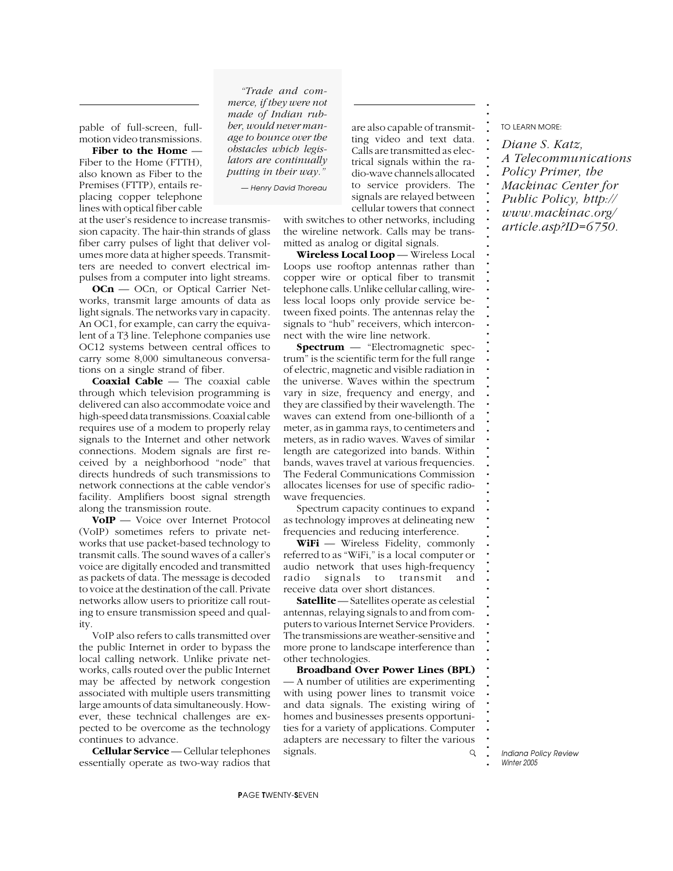pable of full-screen, fullmotion video transmissions.

**Fiber to the Home** *—* Fiber to the Home (FTTH), also known as Fiber to the Premises (FTTP), entails replacing copper telephone lines with optical fiber cable

at the user's residence to increase transmission capacity. The hair-thin strands of glass fiber carry pulses of light that deliver volumes more data at higher speeds. Transmitters are needed to convert electrical impulses from a computer into light streams.

**OCn** — OCn, or Optical Carrier Networks, transmit large amounts of data as light signals. The networks vary in capacity. An OC1, for example, can carry the equivalent of a T3 line. Telephone companies use OC12 systems between central offices to carry some 8,000 simultaneous conversations on a single strand of fiber.

**Coaxial Cable** *—* The coaxial cable through which television programming is delivered can also accommodate voice and high-speed data transmissions. Coaxial cable requires use of a modem to properly relay signals to the Internet and other network connections. Modem signals are first received by a neighborhood "node" that directs hundreds of such transmissions to network connections at the cable vendor's facility. Amplifiers boost signal strength along the transmission route.

**VoIP** — Voice over Internet Protocol (VoIP) sometimes refers to private networks that use packet-based technology to transmit calls. The sound waves of a caller's voice are digitally encoded and transmitted as packets of data. The message is decoded to voice at the destination of the call. Private networks allow users to prioritize call routing to ensure transmission speed and quality.

VoIP also refers to calls transmitted over the public Internet in order to bypass the local calling network. Unlike private networks, calls routed over the public Internet may be affected by network congestion associated with multiple users transmitting large amounts of data simultaneously. However, these technical challenges are expected to be overcome as the technology continues to advance.

**Cellular Service** *—* Cellular telephones essentially operate as two-way radios that

*"Trade and commerce, if they were not made of Indian rubber, would never manage to bounce over the obstacles which legislators are continually putting in their way."*

*— Henry David Thoreau*

cellular towers that connect with switches to other networks, including the wireline network. Calls may be transmitted as analog or digital signals.

are also capable of transmit-

**Wireless Local Loop** *—* Wireless Local Loops use rooftop antennas rather than copper wire or optical fiber to transmit telephone calls. Unlike cellular calling, wireless local loops only provide service between fixed points. The antennas relay the signals to "hub" receivers, which interconnect with the wire line network.

**Spectrum** — "Electromagnetic spectrum" is the scientific term for the full range of electric, magnetic and visible radiation in the universe. Waves within the spectrum vary in size, frequency and energy, and they are classified by their wavelength. The waves can extend from one-billionth of a meter, as in gamma rays, to centimeters and meters, as in radio waves. Waves of similar length are categorized into bands. Within bands, waves travel at various frequencies. The Federal Communications Commission allocates licenses for use of specific radiowave frequencies.

Spectrum capacity continues to expand as technology improves at delineating new frequencies and reducing interference.

WiFi — Wireless Fidelity, commonly referred to as "WiFi," is a local computer or audio network that uses high-frequency radio signals to transmit and receive data over short distances.

**Satellite** *—* Satellites operate as celestial antennas, relaying signals to and from computers to various Internet Service Providers. The transmissions are weather-sensitive and more prone to landscape interference than other technologies.

**Broadband Over Power Lines (BPL)** *—* A number of utilities are experimenting with using power lines to transmit voice and data signals. The existing wiring of homes and businesses presents opportunities for a variety of applications. Computer adapters are necessary to filter the various signals.  $Q$ 

**. . . . . . . . .** ting video and text data. Calls are transmitted as electrical signals within the radio-wave channels allocated to service providers. The signals are relayed between *Diane S. Katz, A Telecommunications Policy Primer, the Mackinac Center for Public Policy, http:// www.mackinac.org/*

*TO LEARN MORE:*

**. . . .**

**. . . . . . . . . . . . . . . . . . . . . . . . . . . . . . . . . . . . . . . . . . . . . . . . . . . . . . . . . . . . . .**

*article.asp?ID=6750.*